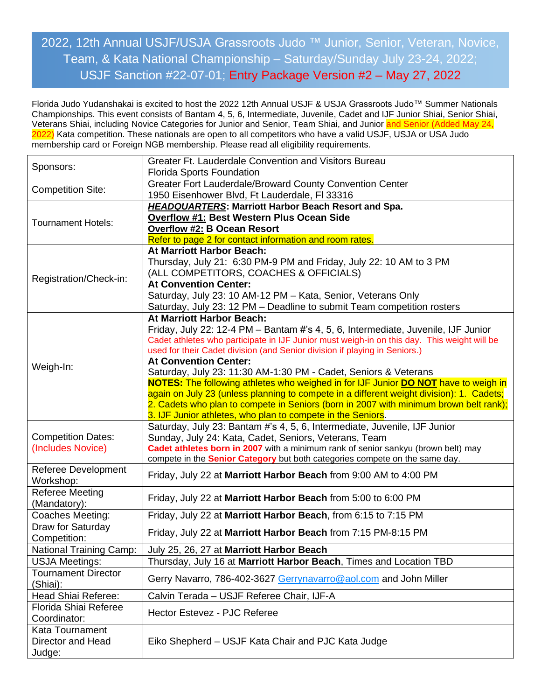## 2022, 12th Annual USJF/USJA Grassroots Judo ™ Junior, Senior, Veteran, Novice, Team, & Kata National Championship – Saturday/Sunday July 23-24, 2022; USJF Sanction #22-07-01; Entry Package Version #2 – May 27, 2022

Florida Judo Yudanshakai is excited to host the 2022 12th Annual USJF & USJA Grassroots Judo™ Summer Nationals Championships. This event consists of Bantam 4, 5, 6, Intermediate, Juvenile, Cadet and IJF Junior Shiai, Senior Shiai, Veterans Shiai, including Novice Categories for Junior and Senior, Team Shiai, and Junior and Senior (Added May 24, 2022) Kata competition. These nationals are open to all competitors who have a valid USJF, USJA or USA Judo membership card or Foreign NGB membership. Please read all eligibility requirements.

| Sponsors:                      | Greater Ft. Lauderdale Convention and Visitors Bureau                                             |
|--------------------------------|---------------------------------------------------------------------------------------------------|
|                                | <b>Florida Sports Foundation</b>                                                                  |
| <b>Competition Site:</b>       | Greater Fort Lauderdale/Broward County Convention Center                                          |
|                                | 1950 Eisenhower Blvd, Ft Lauderdale, Fl 33316                                                     |
|                                | <b>HEADQUARTERS: Marriott Harbor Beach Resort and Spa.</b>                                        |
| <b>Tournament Hotels:</b>      | <b>Overflow #1: Best Western Plus Ocean Side</b>                                                  |
|                                | <b>Overflow #2: B Ocean Resort</b>                                                                |
|                                | Refer to page 2 for contact information and room rates.                                           |
|                                | At Marriott Harbor Beach:                                                                         |
|                                | Thursday, July 21: 6:30 PM-9 PM and Friday, July 22: 10 AM to 3 PM                                |
| Registration/Check-in:         | (ALL COMPETITORS, COACHES & OFFICIALS)                                                            |
|                                | <b>At Convention Center:</b>                                                                      |
|                                | Saturday, July 23: 10 AM-12 PM - Kata, Senior, Veterans Only                                      |
|                                | Saturday, July 23: 12 PM - Deadline to submit Team competition rosters                            |
|                                | At Marriott Harbor Beach:                                                                         |
|                                | Friday, July 22: 12-4 PM - Bantam #'s 4, 5, 6, Intermediate, Juvenile, IJF Junior                 |
|                                | Cadet athletes who participate in IJF Junior must weigh-in on this day. This weight will be       |
|                                | used for their Cadet division (and Senior division if playing in Seniors.)                        |
| Weigh-In:                      | <b>At Convention Center:</b>                                                                      |
|                                | Saturday, July 23: 11:30 AM-1:30 PM - Cadet, Seniors & Veterans                                   |
|                                | <b>NOTES:</b> The following athletes who weighed in for IJF Junior <b>DO NOT</b> have to weigh in |
|                                | again on July 23 (unless planning to compete in a different weight division): 1. Cadets;          |
|                                | 2. Cadets who plan to compete in Seniors (born in 2007 with minimum brown belt rank);             |
|                                | 3. IJF Junior athletes, who plan to compete in the Seniors.                                       |
|                                | Saturday, July 23: Bantam #'s 4, 5, 6, Intermediate, Juvenile, IJF Junior                         |
| <b>Competition Dates:</b>      | Sunday, July 24: Kata, Cadet, Seniors, Veterans, Team                                             |
| (Includes Novice)              | Cadet athletes born in 2007 with a minimum rank of senior sankyu (brown belt) may                 |
|                                | compete in the <b>Senior Category</b> but both categories compete on the same day.                |
| Referee Development            | Friday, July 22 at Marriott Harbor Beach from 9:00 AM to 4:00 PM                                  |
| Workshop:                      |                                                                                                   |
| <b>Referee Meeting</b>         | Friday, July 22 at Marriott Harbor Beach from 5:00 to 6:00 PM                                     |
| (Mandatory):                   |                                                                                                   |
| Coaches Meeting:               | Friday, July 22 at Marriott Harbor Beach, from 6:15 to 7:15 PM                                    |
| Draw for Saturday              | Friday, July 22 at Marriott Harbor Beach from 7:15 PM-8:15 PM                                     |
| Competition:                   |                                                                                                   |
| <b>National Training Camp:</b> | July 25, 26, 27 at Marriott Harbor Beach                                                          |
| <b>USJA Meetings:</b>          | Thursday, July 16 at Marriott Harbor Beach, Times and Location TBD                                |
| <b>Tournament Director</b>     | Gerry Navarro, 786-402-3627 Gerrynavarro@aol.com and John Miller                                  |
| (Shiai):                       |                                                                                                   |
| Head Shiai Referee:            | Calvin Terada - USJF Referee Chair, IJF-A                                                         |
| Florida Shiai Referee          |                                                                                                   |
| Coordinator:                   | Hector Estevez - PJC Referee                                                                      |
| Kata Tournament                |                                                                                                   |
| Director and Head              | Eiko Shepherd – USJF Kata Chair and PJC Kata Judge                                                |
| Judge:                         |                                                                                                   |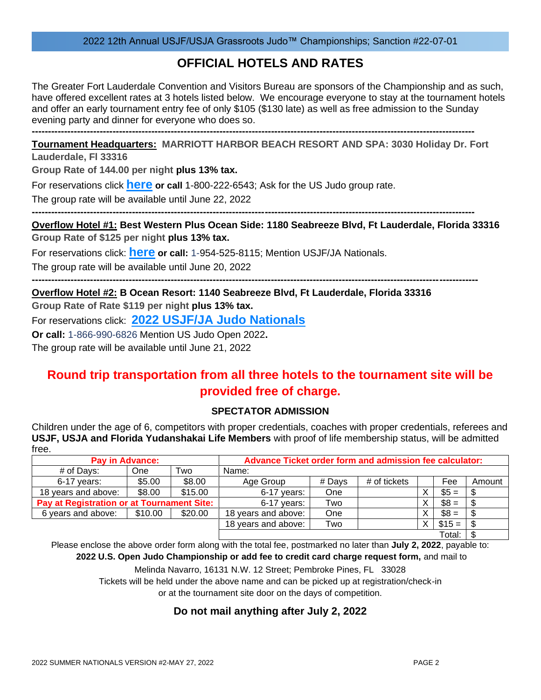## **OFFICIAL HOTELS AND RATES**

The Greater Fort Lauderdale Convention and Visitors Bureau are sponsors of the Championship and as such, have offered excellent rates at 3 hotels listed below. We encourage everyone to stay at the tournament hotels and offer an early tournament entry fee of only \$105 (\$130 late) as well as free admission to the Sunday evening party and dinner for everyone who does so.

**----------------------------------------------------------------------------------------------------------------------------------------- Tournament Headquarters: MARRIOTT HARBOR BEACH RESORT AND SPA: 3030 Holiday Dr. Fort** 

**Lauderdale, Fl 33316**

**Group Rate of 144.00 per night plus 13% tax.**

For reservations click **[here](https://book.passkey.com/e/50233392) or call** 1-800-222-6543; Ask for the US Judo group rate.

The group rate will be available until June 22, 2022

**-----------------------------------------------------------------------------------------------------------------------------------------**

**Overflow Hotel #1: Best Western Plus Ocean Side: 1180 Seabreeze Blvd, Ft Lauderdale, Florida 33316 Group Rate of \$125 per night plus 13% tax.**

For reservations click: **[here](https://www.bestwestern.com/en_US/book/hotel-rooms.10212.html?groupId=B34UW7C8) or call:** 1-954-525-8115; Mention USJF/JA Nationals.

The group rate will be available until June 20, 2022

**------------------------------------------------------------------------------------------------------------------------------------------ Overflow Hotel #2: B Ocean Resort: 1140 Seabreeze Blvd, Ft Lauderdale, Florida 33316**

**Group Rate of Rate \$119 per night plus 13% tax.**

For reservations click: **[2022 USJF/JA Judo Nationals](https://be.synxis.com/?adult=2&arrive=2022-07-21&chain=24407&child=0¤cy=USD&depart=2022-07-27&filter=&group=22USJUDO&hotel=6230&level=hotel&locale=en-US&rooms=1)**

**Or call:** 1-866-990-6826 Mention US Judo Open 2022**.**

The group rate will be available until June 21, 2022

## **Round trip transportation from all three hotels to the tournament site will be provided free of charge.**

## **SPECTATOR ADMISSION**

Children under the age of 6, competitors with proper credentials, coaches with proper credentials, referees and **USJF, USJA and Florida Yudanshakai Life Members** with proof of life membership status, will be admitted free.

|                                            | <b>Pay in Advance:</b> |         | Advance Ticket order form and admission fee calculator: |        |              |    |         |        |
|--------------------------------------------|------------------------|---------|---------------------------------------------------------|--------|--------------|----|---------|--------|
| # of Days:                                 | <b>One</b>             | Two     | Name:                                                   |        |              |    |         |        |
| $6-17$ years:                              | \$5.00                 | \$8.00  | Age Group                                               | # Days | # of tickets |    | Fee     | Amount |
| 18 years and above:                        | \$8.00                 | \$15.00 | $6-17$ years:                                           | One    |              |    | $$5 =$  |        |
| Pay at Registration or at Tournament Site: |                        |         | 6-17 years:                                             | Two    |              |    | $$8 =$  |        |
| 6 years and above:                         | \$10.00                | \$20.00 | 18 years and above:                                     | One    |              |    | $$8 =$  |        |
|                                            |                        |         | 18 years and above:                                     | Two    |              | X. | $$15 =$ |        |
|                                            |                        |         |                                                         |        |              |    | Total:  |        |

Please enclose the above order form along with the total fee, postmarked no later than **July 2, 2022**, payable to:

**2022 U.S. Open Judo Championship or add fee to credit card charge request form,** and mail to

Melinda Navarro, 16131 N.W. 12 Street; Pembroke Pines, FL 33028

Tickets will be held under the above name and can be picked up at registration/check-in

or at the tournament site door on the days of competition.

## **Do not mail anything after July 2, 2022**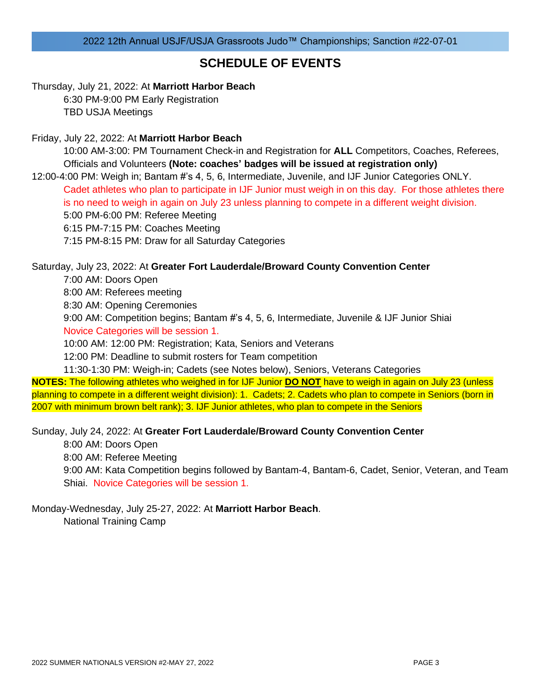## **SCHEDULE OF EVENTS**

Thursday, July 21, 2022: At **Marriott Harbor Beach** 6:30 PM-9:00 PM Early Registration TBD USJA Meetings

Friday, July 22, 2022: At **Marriott Harbor Beach**

10:00 AM-3:00: PM Tournament Check-in and Registration for **ALL** Competitors, Coaches, Referees, Officials and Volunteers **(Note: coaches' badges will be issued at registration only)**

12:00-4:00 PM: Weigh in; Bantam #'s 4, 5, 6, Intermediate, Juvenile, and IJF Junior Categories ONLY. Cadet athletes who plan to participate in IJF Junior must weigh in on this day. For those athletes there is no need to weigh in again on July 23 unless planning to compete in a different weight division. 5:00 PM-6:00 PM: Referee Meeting 6:15 PM-7:15 PM: Coaches Meeting

7:15 PM-8:15 PM: Draw for all Saturday Categories

## Saturday, July 23, 2022: At **Greater Fort Lauderdale/Broward County Convention Center**

7:00 AM: Doors Open

8:00 AM: Referees meeting

8:30 AM: Opening Ceremonies

9:00 AM: Competition begins; Bantam #'s 4, 5, 6, Intermediate, Juvenile & IJF Junior Shiai Novice Categories will be session 1.

10:00 AM: 12:00 PM: Registration; Kata, Seniors and Veterans

12:00 PM: Deadline to submit rosters for Team competition

11:30-1:30 PM: Weigh-in; Cadets (see Notes below), Seniors, Veterans Categories

**NOTES:** The following athletes who weighed in for IJF Junior **DO NOT** have to weigh in again on July 23 (unless planning to compete in a different weight division): 1. Cadets; 2. Cadets who plan to compete in Seniors (born in 2007 with minimum brown belt rank); 3. IJF Junior athletes, who plan to compete in the Seniors

Sunday, July 24, 2022: At **Greater Fort Lauderdale/Broward County Convention Center**

8:00 AM: Doors Open

8:00 AM: Referee Meeting

9:00 AM: Kata Competition begins followed by Bantam-4, Bantam-6, Cadet, Senior, Veteran, and Team Shiai. Novice Categories will be session 1.

Monday-Wednesday, July 25-27, 2022: At **Marriott Harbor Beach**. National Training Camp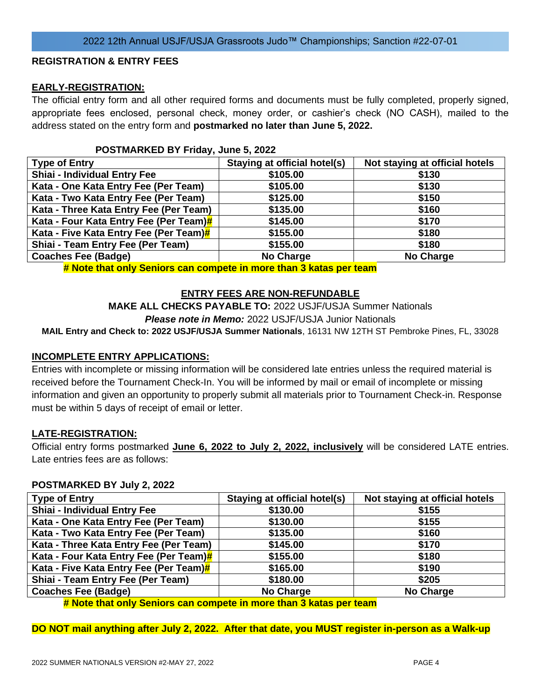### **REGISTRATION & ENTRY FEES**

## **EARLY-REGISTRATION:**

The official entry form and all other required forms and documents must be fully completed, properly signed, appropriate fees enclosed, personal check, money order, or cashier's check (NO CASH), mailed to the address stated on the entry form and **postmarked no later than June 5, 2022.**

### **POSTMARKED BY Friday, June 5, 2022**

| <b>Type of Entry</b>                   | Staying at official hotel(s) | Not staying at official hotels |
|----------------------------------------|------------------------------|--------------------------------|
| <b>Shiai - Individual Entry Fee</b>    | \$105.00                     | \$130                          |
| Kata - One Kata Entry Fee (Per Team)   | \$105.00                     | \$130                          |
| Kata - Two Kata Entry Fee (Per Team)   | \$125.00                     | \$150                          |
| Kata - Three Kata Entry Fee (Per Team) | \$135.00                     | \$160                          |
| Kata - Four Kata Entry Fee (Per Team)# | \$145.00                     | \$170                          |
| Kata - Five Kata Entry Fee (Per Team)# | \$155.00                     | \$180                          |
| Shiai - Team Entry Fee (Per Team)      | \$155.00                     | \$180                          |
| <b>Coaches Fee (Badge)</b>             | <b>No Charge</b>             | <b>No Charge</b>               |

**# Note that only Seniors can compete in more than 3 katas per team**

## **ENTRY FEES ARE NON-REFUNDABLE**

**MAKE ALL CHECKS PAYABLE TO:** 2022 USJF/USJA Summer Nationals *Please note in Memo:* 2022 USJF/USJA Junior Nationals

**MAIL Entry and Check to: 2022 USJF/USJA Summer Nationals**, 16131 NW 12TH ST Pembroke Pines, FL, 33028

### **INCOMPLETE ENTRY APPLICATIONS:**

Entries with incomplete or missing information will be considered late entries unless the required material is received before the Tournament Check-In. You will be informed by mail or email of incomplete or missing information and given an opportunity to properly submit all materials prior to Tournament Check-in. Response must be within 5 days of receipt of email or letter.

### **LATE-REGISTRATION:**

Official entry forms postmarked **June 6, 2022 to July 2, 2022, inclusively** will be considered LATE entries. Late entries fees are as follows:

#### **POSTMARKED BY July 2, 2022**

| <b>Type of Entry</b>                   | <b>Staying at official hotel(s)</b> | Not staying at official hotels |
|----------------------------------------|-------------------------------------|--------------------------------|
| <b>Shiai - Individual Entry Fee</b>    | \$130.00                            | \$155                          |
| Kata - One Kata Entry Fee (Per Team)   | \$130.00                            | \$155                          |
| Kata - Two Kata Entry Fee (Per Team)   | \$135.00                            | \$160                          |
| Kata - Three Kata Entry Fee (Per Team) | \$145.00                            | \$170                          |
| Kata - Four Kata Entry Fee (Per Team)# | \$155.00                            | \$180                          |
| Kata - Five Kata Entry Fee (Per Team)# | \$165.00                            | \$190                          |
| Shiai - Team Entry Fee (Per Team)      | \$180.00                            | \$205                          |
| <b>Coaches Fee (Badge)</b>             | <b>No Charge</b>                    | <b>No Charge</b>               |

**# Note that only Seniors can compete in more than 3 katas per team**

**DO NOT mail anything after July 2, 2022. After that date, you MUST register in-person as a Walk-up**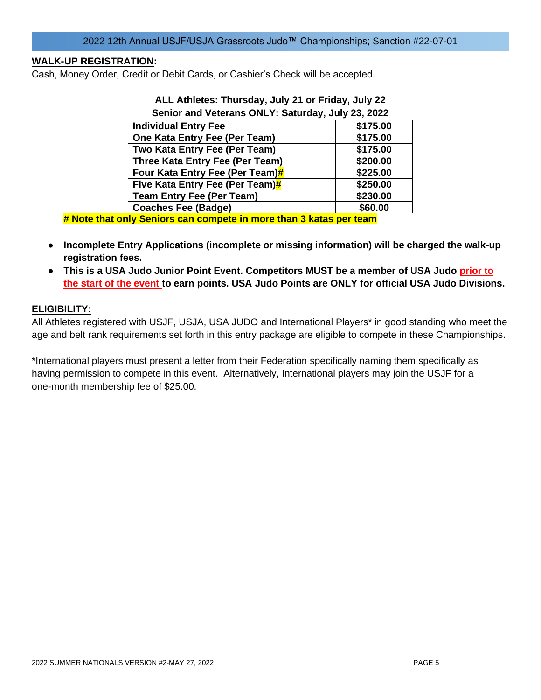## **WALK-UP REGISTRATION:**

Cash, Money Order, Credit or Debit Cards, or Cashier's Check will be accepted.

| Senior and Veterans ONLY: Saturday, July 23, 2022                                                                                                                                                                                    |          |
|--------------------------------------------------------------------------------------------------------------------------------------------------------------------------------------------------------------------------------------|----------|
| <b>Individual Entry Fee</b>                                                                                                                                                                                                          | \$175.00 |
| One Kata Entry Fee (Per Team)                                                                                                                                                                                                        | \$175.00 |
| Two Kata Entry Fee (Per Team)                                                                                                                                                                                                        | \$175.00 |
| Three Kata Entry Fee (Per Team)                                                                                                                                                                                                      | \$200.00 |
| Four Kata Entry Fee (Per Team)#                                                                                                                                                                                                      | \$225.00 |
| Five Kata Entry Fee (Per Team)#                                                                                                                                                                                                      | \$250.00 |
| <b>Team Entry Fee (Per Team)</b>                                                                                                                                                                                                     | \$230.00 |
| <b>Coaches Fee (Badge)</b>                                                                                                                                                                                                           | \$60.00  |
| <u>I Alitica de la contexta de la contexta de la contexta de la contexta de la contexta de la contexta de la contexta de la contexta de la contexta de la contexta de la contexta de la contexta de la contexta de la contexta d</u> |          |

# **ALL Athletes: Thursday, July 21 or Friday, July 22**

**# Note that only Seniors can compete in more than 3 katas per team**

- **Incomplete Entry Applications (incomplete or missing information) will be charged the walk-up registration fees.**
- **This is a USA Judo Junior Point Event. Competitors MUST be a member of USA Judo prior to the start of the event to earn points. USA Judo Points are ONLY for official USA Judo Divisions.**

### **ELIGIBILITY:**

All Athletes registered with USJF, USJA, USA JUDO and International Players\* in good standing who meet the age and belt rank requirements set forth in this entry package are eligible to compete in these Championships.

\*International players must present a letter from their Federation specifically naming them specifically as having permission to compete in this event. Alternatively, International players may join the USJF for a one-month membership fee of \$25.00.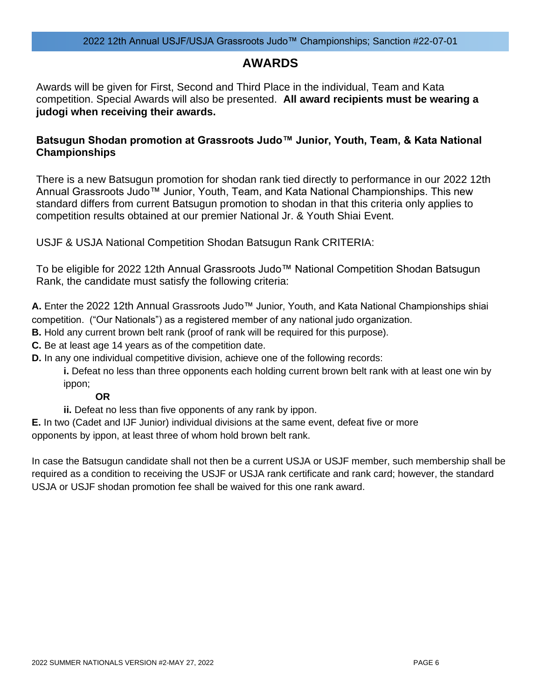## **AWARDS**

Awards will be given for First, Second and Third Place in the individual, Team and Kata competition. Special Awards will also be presented. **All award recipients must be wearing a judogi when receiving their awards.**

## **Batsugun Shodan promotion at Grassroots Judo™ Junior, Youth, Team, & Kata National Championships**

There is a new Batsugun promotion for shodan rank tied directly to performance in our 2022 12th Annual Grassroots Judo™ Junior, Youth, Team, and Kata National Championships. This new standard differs from current Batsugun promotion to shodan in that this criteria only applies to competition results obtained at our premier National Jr. & Youth Shiai Event.

USJF & USJA National Competition Shodan Batsugun Rank CRITERIA:

To be eligible for 2022 12th Annual Grassroots Judo™ National Competition Shodan Batsugun Rank, the candidate must satisfy the following criteria:

**A.** Enter the 2022 12th Annual Grassroots Judo™ Junior, Youth, and Kata National Championships shiai competition. ("Our Nationals") as a registered member of any national judo organization.

**B.** Hold any current brown belt rank (proof of rank will be required for this purpose).

**C.** Be at least age 14 years as of the competition date.

**D.** In any one individual competitive division, achieve one of the following records:

**i.** Defeat no less than three opponents each holding current brown belt rank with at least one win by ippon;

## **OR**

**ii.** Defeat no less than five opponents of any rank by ippon.

**E.** In two (Cadet and IJF Junior) individual divisions at the same event, defeat five or more opponents by ippon, at least three of whom hold brown belt rank.

In case the Batsugun candidate shall not then be a current USJA or USJF member, such membership shall be required as a condition to receiving the USJF or USJA rank certificate and rank card; however, the standard USJA or USJF shodan promotion fee shall be waived for this one rank award.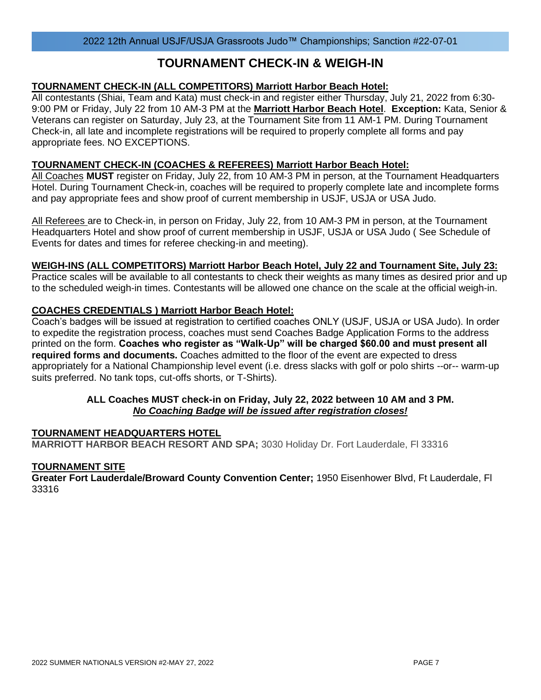## **TOURNAMENT CHECK-IN & WEIGH-IN**

## **TOURNAMENT CHECK-IN (ALL COMPETITORS) Marriott Harbor Beach Hotel:**

All contestants (Shiai, Team and Kata) must check-in and register either Thursday, July 21, 2022 from 6:30- 9:00 PM or Friday, July 22 from 10 AM-3 PM at the **Marriott Harbor Beach Hotel**. **Exception:** Kata, Senior & Veterans can register on Saturday, July 23, at the Tournament Site from 11 AM-1 PM. During Tournament Check-in, all late and incomplete registrations will be required to properly complete all forms and pay appropriate fees. NO EXCEPTIONS.

## **TOURNAMENT CHECK-IN (COACHES & REFEREES) Marriott Harbor Beach Hotel:**

All Coaches **MUST** register on Friday, July 22, from 10 AM-3 PM in person, at the Tournament Headquarters Hotel. During Tournament Check-in, coaches will be required to properly complete late and incomplete forms and pay appropriate fees and show proof of current membership in USJF, USJA or USA Judo.

All Referees are to Check-in, in person on Friday, July 22, from 10 AM-3 PM in person, at the Tournament Headquarters Hotel and show proof of current membership in USJF, USJA or USA Judo ( See Schedule of Events for dates and times for referee checking-in and meeting).

### **WEIGH-INS (ALL COMPETITORS) Marriott Harbor Beach Hotel, July 22 and Tournament Site, July 23:**

Practice scales will be available to all contestants to check their weights as many times as desired prior and up to the scheduled weigh-in times. Contestants will be allowed one chance on the scale at the official weigh-in.

## **COACHES CREDENTIALS ) Marriott Harbor Beach Hotel:**

Coach's badges will be issued at registration to certified coaches ONLY (USJF, USJA or USA Judo). In order to expedite the registration process, coaches must send Coaches Badge Application Forms to the address printed on the form. **Coaches who register as "Walk-Up" will be charged \$60.00 and must present all required forms and documents.** Coaches admitted to the floor of the event are expected to dress appropriately for a National Championship level event (i.e. dress slacks with golf or polo shirts --or-- warm-up suits preferred. No tank tops, cut-offs shorts, or T-Shirts).

### **ALL Coaches MUST check-in on Friday, July 22, 2022 between 10 AM and 3 PM.** *No Coaching Badge will be issued after registration closes!*

### **TOURNAMENT HEADQUARTERS HOTEL**

**MARRIOTT HARBOR BEACH RESORT AND SPA;** 3030 Holiday Dr. Fort Lauderdale, Fl 33316

### **TOURNAMENT SITE**

**Greater Fort Lauderdale/Broward County Convention Center;** 1950 Eisenhower Blvd, Ft Lauderdale, Fl 33316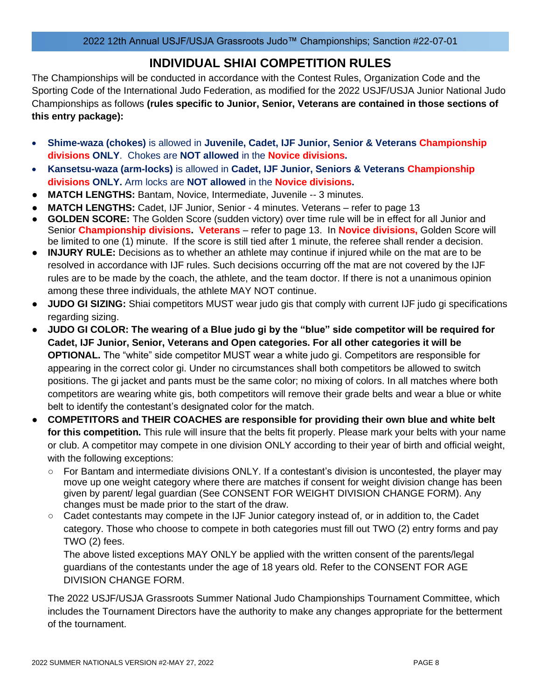## **INDIVIDUAL SHIAI COMPETITION RULES**

The Championships will be conducted in accordance with the Contest Rules, Organization Code and the Sporting Code of the International Judo Federation, as modified for the 2022 USJF/USJA Junior National Judo Championships as follows **(rules specific to Junior, Senior, Veterans are contained in those sections of this entry package):**

- **Shime-waza (chokes)** is allowed in **Juvenile, Cadet, IJF Junior, Senior & Veterans Championship divisions ONLY**. Chokes are **NOT allowed** in the **Novice divisions.**
- **Kansetsu-waza (arm-locks)** is allowed in **Cadet, IJF Junior, Seniors & Veterans Championship divisions ONLY.** Arm locks are **NOT allowed** in the **Novice divisions.**
- **MATCH LENGTHS:** Bantam, Novice, Intermediate, Juvenile -- 3 minutes.
- **MATCH LENGTHS:** Cadet, IJF Junior, Senior 4 minutes. Veterans refer to page 13
- **GOLDEN SCORE:** The Golden Score (sudden victory) over time rule will be in effect for all Junior and Senior **Championship divisions. Veterans** – refer to page 13. In **Novice divisions,** Golden Score will be limited to one (1) minute. If the score is still tied after 1 minute, the referee shall render a decision.
- **INJURY RULE:** Decisions as to whether an athlete may continue if injured while on the mat are to be resolved in accordance with IJF rules. Such decisions occurring off the mat are not covered by the IJF rules are to be made by the coach, the athlete, and the team doctor. If there is not a unanimous opinion among these three individuals, the athlete MAY NOT continue.
- **JUDO GI SIZING:** Shiai competitors MUST wear judo gis that comply with current IJF judo gi specifications regarding sizing.
- **JUDO GI COLOR: The wearing of a Blue judo gi by the "blue" side competitor will be required for Cadet, IJF Junior, Senior, Veterans and Open categories. For all other categories it will be OPTIONAL.** The "white" side competitor MUST wear a white judo gi. Competitors are responsible for appearing in the correct color gi. Under no circumstances shall both competitors be allowed to switch positions. The gi jacket and pants must be the same color; no mixing of colors. In all matches where both competitors are wearing white gis, both competitors will remove their grade belts and wear a blue or white belt to identify the contestant's designated color for the match.
- **COMPETITORS and THEIR COACHES are responsible for providing their own blue and white belt for this competition.** This rule will insure that the belts fit properly. Please mark your belts with your name or club. A competitor may compete in one division ONLY according to their year of birth and official weight, with the following exceptions:
	- $\circ$  For Bantam and intermediate divisions ONLY. If a contestant's division is uncontested, the player may move up one weight category where there are matches if consent for weight division change has been given by parent/ legal guardian (See CONSENT FOR WEIGHT DIVISION CHANGE FORM). Any changes must be made prior to the start of the draw.
	- Cadet contestants may compete in the IJF Junior category instead of, or in addition to, the Cadet category. Those who choose to compete in both categories must fill out TWO (2) entry forms and pay TWO (2) fees.

The above listed exceptions MAY ONLY be applied with the written consent of the parents/legal guardians of the contestants under the age of 18 years old. Refer to the CONSENT FOR AGE DIVISION CHANGE FORM.

The 2022 USJF/USJA Grassroots Summer National Judo Championships Tournament Committee, which includes the Tournament Directors have the authority to make any changes appropriate for the betterment of the tournament.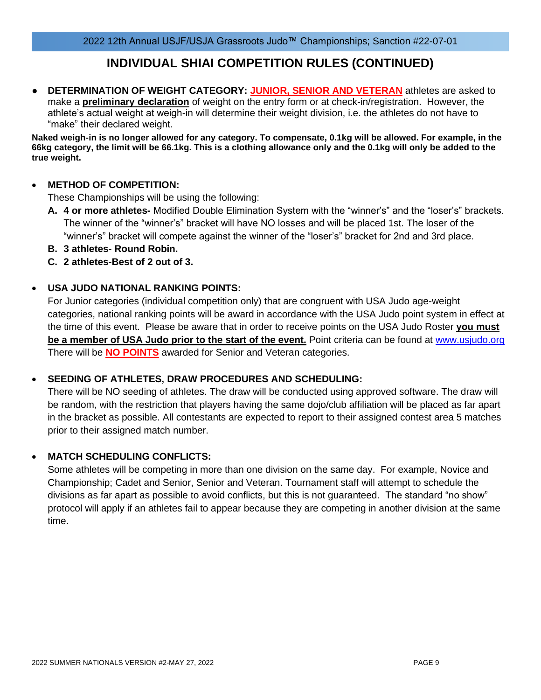## **INDIVIDUAL SHIAI COMPETITION RULES (CONTINUED)**

**DETERMINATION OF WEIGHT CATEGORY: JUNIOR, SENIOR AND VETERAN athletes are asked to** make a **preliminary declaration** of weight on the entry form or at check-in/registration. However, the athlete's actual weight at weigh-in will determine their weight division, i.e. the athletes do not have to "make" their declared weight.

**Naked weigh-in is no longer allowed for any category. To compensate, 0.1kg will be allowed. For example, in the 66kg category, the limit will be 66.1kg. This is a clothing allowance only and the 0.1kg will only be added to the true weight.**

## • **METHOD OF COMPETITION:**

These Championships will be using the following:

- **A. 4 or more athletes-** Modified Double Elimination System with the "winner's" and the "loser's" brackets. The winner of the "winner's" bracket will have NO losses and will be placed 1st. The loser of the "winner's" bracket will compete against the winner of the "loser's" bracket for 2nd and 3rd place.
- **B. 3 athletes- Round Robin.**
- **C. 2 athletes-Best of 2 out of 3.**

## • **USA JUDO NATIONAL RANKING POINTS:**

For Junior categories (individual competition only) that are congruent with USA Judo age-weight categories, national ranking points will be award in accordance with the USA Judo point system in effect at the time of this event. Please be aware that in order to receive points on the USA Judo Roster **you must be a member of USA Judo prior to the start of the event.** Point criteria can be found at [www.usjudo.org](http://www.usjudo.org/) There will be **NO POINTS** awarded for Senior and Veteran categories.

## • **SEEDING OF ATHLETES, DRAW PROCEDURES AND SCHEDULING:**

There will be NO seeding of athletes. The draw will be conducted using approved software. The draw will be random, with the restriction that players having the same dojo/club affiliation will be placed as far apart in the bracket as possible. All contestants are expected to report to their assigned contest area 5 matches prior to their assigned match number.

## • **MATCH SCHEDULING CONFLICTS:**

Some athletes will be competing in more than one division on the same day. For example, Novice and Championship; Cadet and Senior, Senior and Veteran. Tournament staff will attempt to schedule the divisions as far apart as possible to avoid conflicts, but this is not guaranteed. The standard "no show" protocol will apply if an athletes fail to appear because they are competing in another division at the same time.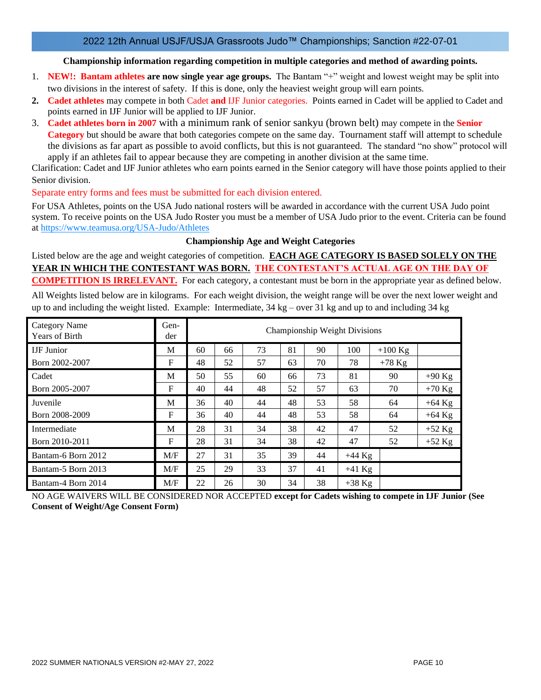### **Championship information regarding competition in multiple categories and method of awarding points.**

- 1. **NEW!: Bantam athletes are now single year age groups.** The Bantam "+" weight and lowest weight may be split into two divisions in the interest of safety. If this is done, only the heaviest weight group will earn points.
- **2. Cadet athletes** may compete in both Cadet **and** IJF Junior categories. Points earned in Cadet will be applied to Cadet and points earned in IJF Junior will be applied to IJF Junior.
- 3. **Cadet athletes born in 2007** with a minimum rank of senior sankyu (brown belt) may compete in the **Senior Category** but should be aware that both categories compete on the same day. Tournament staff will attempt to schedule the divisions as far apart as possible to avoid conflicts, but this is not guaranteed. The standard "no show" protocol will apply if an athletes fail to appear because they are competing in another division at the same time.

Clarification: Cadet and IJF Junior athletes who earn points earned in the Senior category will have those points applied to their Senior division.

Separate entry forms and fees must be submitted for each division entered.

For USA Athletes, points on the USA Judo national rosters will be awarded in accordance with the current USA Judo point system. To receive points on the USA Judo Roster you must be a member of USA Judo prior to the event. Criteria can be found at<https://www.teamusa.org/USA-Judo/Athletes>

### **Championship Age and Weight Categories**

Listed below are the age and weight categories of competition. **EACH AGE CATEGORY IS BASED SOLELY ON THE YEAR IN WHICH THE CONTESTANT WAS BORN. THE CONTESTANT'S ACTUAL AGE ON THE DAY OF COMPETITION IS IRRELEVANT.** For each category, a contestant must be born in the appropriate year as defined below.

All Weights listed below are in kilograms. For each weight division, the weight range will be over the next lower weight and up to and including the weight listed. Example: Intermediate,  $34 \text{ kg}$  – over 31 kg and up to and including 34 kg

| <b>Category Name</b><br><b>Years of Birth</b> | Gen-<br>der |    |    |    |    |    | Championship Weight Divisions |           |          |
|-----------------------------------------------|-------------|----|----|----|----|----|-------------------------------|-----------|----------|
| <b>IJF</b> Junior                             | М           | 60 | 66 | 73 | 81 | 90 | 100                           | $+100$ Kg |          |
| Born 2002-2007                                | F           | 48 | 52 | 57 | 63 | 70 | 78                            | $+78$ Kg  |          |
| Cadet                                         | М           | 50 | 55 | 60 | 66 | 73 | 81                            | 90        | $+90$ Kg |
| Born 2005-2007                                | F           | 40 | 44 | 48 | 52 | 57 | 63                            | 70        | $+70$ Kg |
| Juvenile                                      | M           | 36 | 40 | 44 | 48 | 53 | 58                            | 64        | $+64$ Kg |
| Born 2008-2009                                | F           | 36 | 40 | 44 | 48 | 53 | 58                            | 64        | $+64$ Kg |
| Intermediate                                  | M           | 28 | 31 | 34 | 38 | 42 | 47                            | 52        | $+52$ Kg |
| Born 2010-2011                                | F           | 28 | 31 | 34 | 38 | 42 | 47                            | 52        | $+52$ Kg |
| Bantam-6 Born 2012                            | M/F         | 27 | 31 | 35 | 39 | 44 | $+44$ Kg                      |           |          |
| Bantam-5 Born 2013                            | M/F         | 25 | 29 | 33 | 37 | 41 | $+41$ Kg                      |           |          |
| Bantam-4 Born 2014                            | M/F         | 22 | 26 | 30 | 34 | 38 | $+38$ Kg                      |           |          |

NO AGE WAIVERS WILL BE CONSIDERED NOR ACCEPTED **except for Cadets wishing to compete in IJF Junior (See Consent of Weight/Age Consent Form)**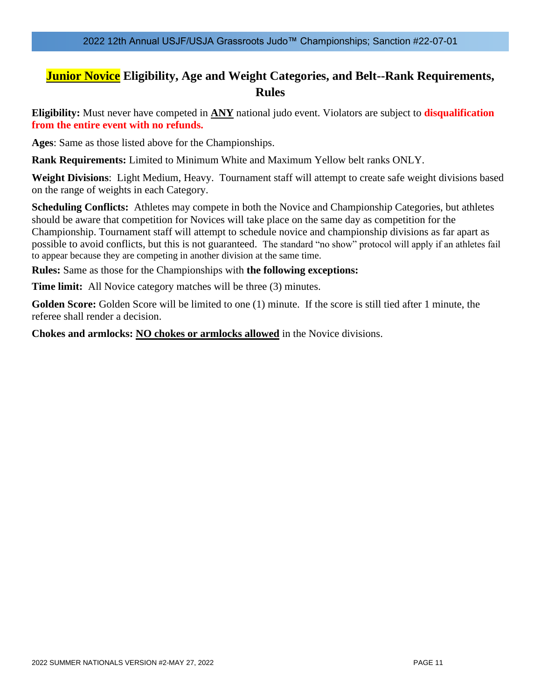## **Junior Novice Eligibility, Age and Weight Categories, and Belt--Rank Requirements, Rules**

**Eligibility:** Must never have competed in **ANY** national judo event. Violators are subject to **disqualification from the entire event with no refunds.**

**Ages**: Same as those listed above for the Championships.

**Rank Requirements:** Limited to Minimum White and Maximum Yellow belt ranks ONLY.

**Weight Divisions**: Light Medium, Heavy. Tournament staff will attempt to create safe weight divisions based on the range of weights in each Category.

**Scheduling Conflicts:** Athletes may compete in both the Novice and Championship Categories, but athletes should be aware that competition for Novices will take place on the same day as competition for the Championship. Tournament staff will attempt to schedule novice and championship divisions as far apart as possible to avoid conflicts, but this is not guaranteed. The standard "no show" protocol will apply if an athletes fail to appear because they are competing in another division at the same time.

**Rules:** Same as those for the Championships with **the following exceptions:**

**Time limit:** All Novice category matches will be three (3) minutes.

**Golden Score:** Golden Score will be limited to one (1) minute. If the score is still tied after 1 minute, the referee shall render a decision.

**Chokes and armlocks: NO chokes or armlocks allowed** in the Novice divisions.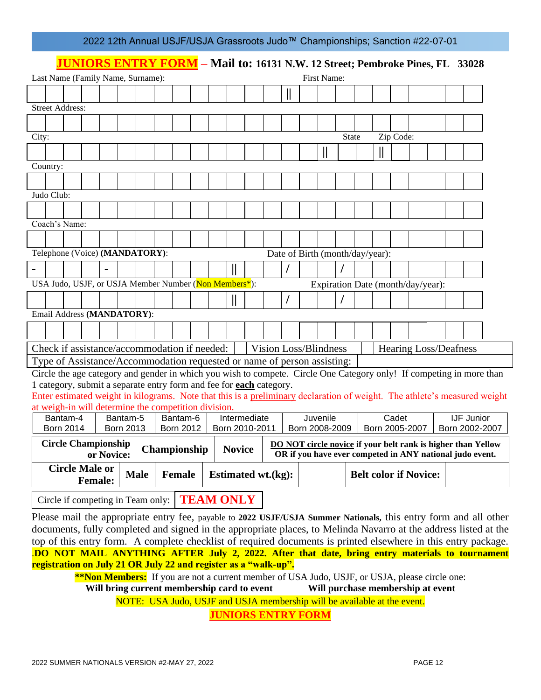|  |  | 2022 12th Annual USJF/USJA Grassroots Judo™ Championships; Sanction #22-07-01 |
|--|--|-------------------------------------------------------------------------------|
|--|--|-------------------------------------------------------------------------------|

## **JUNIORS ENTRY FORM – Mail to: 16131 N.W. 12 Street; Pembroke Pines, FL 33028**

|                                                                           | Last Name (Family Name, Surname):                                                             |  |  |  |          |  |  |          |  |              |                |   | First Name:                  |                                 |                                                                                                                          |           |                                   |  |                   |                                                                                                                           |
|---------------------------------------------------------------------------|-----------------------------------------------------------------------------------------------|--|--|--|----------|--|--|----------|--|--------------|----------------|---|------------------------------|---------------------------------|--------------------------------------------------------------------------------------------------------------------------|-----------|-----------------------------------|--|-------------------|---------------------------------------------------------------------------------------------------------------------------|
|                                                                           |                                                                                               |  |  |  |          |  |  |          |  |              |                |   |                              |                                 |                                                                                                                          |           |                                   |  |                   |                                                                                                                           |
|                                                                           | <b>Street Address:</b>                                                                        |  |  |  |          |  |  |          |  |              |                |   |                              |                                 |                                                                                                                          |           |                                   |  |                   |                                                                                                                           |
|                                                                           |                                                                                               |  |  |  |          |  |  |          |  |              |                |   |                              |                                 |                                                                                                                          |           |                                   |  |                   |                                                                                                                           |
| City:                                                                     |                                                                                               |  |  |  |          |  |  |          |  |              |                |   |                              | <b>State</b>                    |                                                                                                                          | Zip Code: |                                   |  |                   |                                                                                                                           |
|                                                                           |                                                                                               |  |  |  |          |  |  |          |  |              |                |   |                              |                                 |                                                                                                                          |           |                                   |  |                   |                                                                                                                           |
|                                                                           |                                                                                               |  |  |  |          |  |  |          |  |              |                |   | II                           |                                 |                                                                                                                          |           |                                   |  |                   |                                                                                                                           |
|                                                                           | Country:                                                                                      |  |  |  |          |  |  |          |  |              |                |   |                              |                                 |                                                                                                                          |           |                                   |  |                   |                                                                                                                           |
|                                                                           |                                                                                               |  |  |  |          |  |  |          |  |              |                |   |                              |                                 |                                                                                                                          |           |                                   |  |                   |                                                                                                                           |
|                                                                           | Judo Club:                                                                                    |  |  |  |          |  |  |          |  |              |                |   |                              |                                 |                                                                                                                          |           |                                   |  |                   |                                                                                                                           |
|                                                                           |                                                                                               |  |  |  |          |  |  |          |  |              |                |   |                              |                                 |                                                                                                                          |           |                                   |  |                   |                                                                                                                           |
|                                                                           | Coach's Name:                                                                                 |  |  |  |          |  |  |          |  |              |                |   |                              |                                 |                                                                                                                          |           |                                   |  |                   |                                                                                                                           |
|                                                                           |                                                                                               |  |  |  |          |  |  |          |  |              |                |   |                              |                                 |                                                                                                                          |           |                                   |  |                   |                                                                                                                           |
|                                                                           | Telephone (Voice) (MANDATORY):                                                                |  |  |  |          |  |  |          |  |              |                |   |                              | Date of Birth (month/day/year): |                                                                                                                          |           |                                   |  |                   |                                                                                                                           |
|                                                                           |                                                                                               |  |  |  |          |  |  |          |  | $\mathsf{I}$ |                | I |                              |                                 |                                                                                                                          |           |                                   |  |                   |                                                                                                                           |
|                                                                           | USA Judo, USJF, or USJA Member Number (Non Members <sup>*</sup> ):                            |  |  |  |          |  |  |          |  |              |                |   |                              |                                 |                                                                                                                          |           | Expiration Date (month/day/year): |  |                   |                                                                                                                           |
|                                                                           |                                                                                               |  |  |  |          |  |  |          |  | $\parallel$  |                |   |                              |                                 |                                                                                                                          |           |                                   |  |                   |                                                                                                                           |
|                                                                           | Email Address (MANDATORY):                                                                    |  |  |  |          |  |  |          |  |              |                |   |                              |                                 |                                                                                                                          |           |                                   |  |                   |                                                                                                                           |
|                                                                           |                                                                                               |  |  |  |          |  |  |          |  |              |                |   |                              |                                 |                                                                                                                          |           |                                   |  |                   |                                                                                                                           |
|                                                                           |                                                                                               |  |  |  |          |  |  |          |  |              |                |   |                              |                                 |                                                                                                                          |           |                                   |  |                   |                                                                                                                           |
|                                                                           | Check if assistance/accommodation if needed:                                                  |  |  |  |          |  |  |          |  |              |                |   | <b>Vision Loss/Blindness</b> |                                 |                                                                                                                          |           | <b>Hearing Loss/Deafness</b>      |  |                   |                                                                                                                           |
|                                                                           | Type of Assistance/Accommodation requested or name of person assisting:                       |  |  |  |          |  |  |          |  |              |                |   |                              |                                 |                                                                                                                          |           |                                   |  |                   |                                                                                                                           |
|                                                                           | 1 category, submit a separate entry form and fee for each category.                           |  |  |  |          |  |  |          |  |              |                |   |                              |                                 |                                                                                                                          |           |                                   |  |                   | Circle the age category and gender in which you wish to compete. Circle One Category only! If competing in more than      |
|                                                                           |                                                                                               |  |  |  |          |  |  |          |  |              |                |   |                              |                                 |                                                                                                                          |           |                                   |  |                   | Enter estimated weight in kilograms. Note that this is a preliminary declaration of weight. The athlete's measured weight |
|                                                                           | at weigh-in will determine the competition division.                                          |  |  |  |          |  |  |          |  |              |                |   |                              |                                 |                                                                                                                          |           |                                   |  |                   |                                                                                                                           |
|                                                                           | Bantam-4                                                                                      |  |  |  | Bantam-5 |  |  | Bantam-6 |  |              | Intermediate   |   | Juvenile                     |                                 |                                                                                                                          | Cadet     |                                   |  | <b>IJF Junior</b> |                                                                                                                           |
|                                                                           | <b>Born 2014</b><br><b>Born 2013</b><br><b>Born 2012</b><br>Born 2010-2011                    |  |  |  |          |  |  |          |  |              | Born 2008-2009 |   |                              |                                 | Born 2005-2007                                                                                                           |           | Born 2002-2007                    |  |                   |                                                                                                                           |
| <b>Circle Championship</b><br>Championship<br><b>Novice</b><br>or Novice: |                                                                                               |  |  |  |          |  |  |          |  |              |                |   |                              |                                 | DO NOT circle novice if your belt rank is higher than Yellow<br>OR if you have ever competed in ANY national judo event. |           |                                   |  |                   |                                                                                                                           |
|                                                                           | <b>Circle Male or</b><br><b>Male</b><br>Female<br><b>Estimated wt.(kg):</b><br><b>Female:</b> |  |  |  |          |  |  |          |  |              |                |   | <b>Belt color if Novice:</b> |                                 |                                                                                                                          |           |                                   |  |                   |                                                                                                                           |
|                                                                           | Circle if competing in Team only: TEAM ONLY                                                   |  |  |  |          |  |  |          |  |              |                |   |                              |                                 |                                                                                                                          |           |                                   |  |                   |                                                                                                                           |

Please mail the appropriate entry fee, payable to **2022 USJF/USJA Summer Nationals,** this entry form and all other documents, fully completed and signed in the appropriate places, to Melinda Navarro at the address listed at the top of this entry form. A complete checklist of required documents is printed elsewhere in this entry package. .**DO NOT MAIL ANYTHING AFTER July 2, 2022. After that date, bring entry materials to tournament registration on July 21 OR July 22 and register as a "walk-up".**

**\*\*Non Members:** If you are not a current member of USA Judo, USJF, or USJA, please circle one: **Will bring current membership card to event Will purchase membership at event**

NOTE: USA Judo, USJF and USJA membership will be available at the event.

**JUNIORS ENTRY FORM**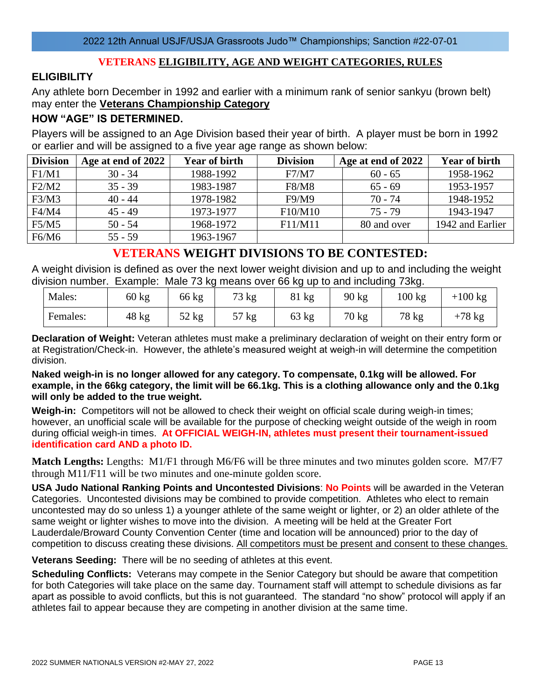## **VETERANS ELIGIBILITY, AGE AND WEIGHT CATEGORIES, RULES**

## **ELIGIBILITY**

Any athlete born December in 1992 and earlier with a minimum rank of senior sankyu (brown belt) may enter the **Veterans Championship Category**

## **HOW "AGE" IS DETERMINED.**

Players will be assigned to an Age Division based their year of birth. A player must be born in 1992 or earlier and will be assigned to a five year age range as shown below:

| <b>Division</b> | Age at end of 2022 | <b>Year of birth</b> | <b>Division</b> | Age at end of 2022 | <b>Year of birth</b> |
|-----------------|--------------------|----------------------|-----------------|--------------------|----------------------|
| F1/M1           | $30 - 34$          | 1988-1992            | F7/M7           | $60 - 65$          | 1958-1962            |
| F2/M2           | $35 - 39$          | 1983-1987            | <b>F8/M8</b>    | $65 - 69$          | 1953-1957            |
| F3/M3           | $40 - 44$          | 1978-1982            | F9/M9           | $70 - 74$          | 1948-1952            |
| F4/M4           | $45 - 49$          | 1973-1977            | F10/M10         | $75 - 79$          | 1943-1947            |
| F5/M5           | $50 - 54$          | 1968-1972            | F11/M11         | 80 and over        | 1942 and Earlier     |
| F6/M6           | $55 - 59$          | 1963-1967            |                 |                    |                      |

## **VETERANS WEIGHT DIVISIONS TO BE CONTESTED:**

A weight division is defined as over the next lower weight division and up to and including the weight division number. Example: Male 73 kg means over 66 kg up to and including 73kg.

| Males:   | 60 kg | 66 kg | 73 kg      | 011<br>81 kg | 90 kg | 100 kg | $-100$ kg |
|----------|-------|-------|------------|--------------|-------|--------|-----------|
| Females: | 48 kg | 52 kg | 57 kg<br>ັ | 63 kg        | 70 kg | 78 kg  | $+78$ kg  |

**Declaration of Weight:** Veteran athletes must make a preliminary declaration of weight on their entry form or at Registration/Check-in. However, the athlete's measured weight at weigh-in will determine the competition division.

**Naked weigh-in is no longer allowed for any category. To compensate, 0.1kg will be allowed. For example, in the 66kg category, the limit will be 66.1kg. This is a clothing allowance only and the 0.1kg will only be added to the true weight.**

**Weigh-in:** Competitors will not be allowed to check their weight on official scale during weigh-in times; however, an unofficial scale will be available for the purpose of checking weight outside of the weigh in room during official weigh-in times. **At OFFICIAL WEIGH-IN, athletes must present their tournament-issued identification card AND a photo ID.**

**Match Lengths:** Lengths: M1/F1 through M6/F6 will be three minutes and two minutes golden score. M7/F7 through M11/F11 will be two minutes and one-minute golden score.

**USA Judo National Ranking Points and Uncontested Divisions**: **No Points** will be awarded in the Veteran Categories. Uncontested divisions may be combined to provide competition. Athletes who elect to remain uncontested may do so unless 1) a younger athlete of the same weight or lighter, or 2) an older athlete of the same weight or lighter wishes to move into the division. A meeting will be held at the Greater Fort Lauderdale/Broward County Convention Center (time and location will be announced) prior to the day of competition to discuss creating these divisions. All competitors must be present and consent to these changes.

**Veterans Seeding:** There will be no seeding of athletes at this event.

**Scheduling Conflicts:** Veterans may compete in the Senior Category but should be aware that competition for both Categories will take place on the same day. Tournament staff will attempt to schedule divisions as far apart as possible to avoid conflicts, but this is not guaranteed. The standard "no show" protocol will apply if an athletes fail to appear because they are competing in another division at the same time.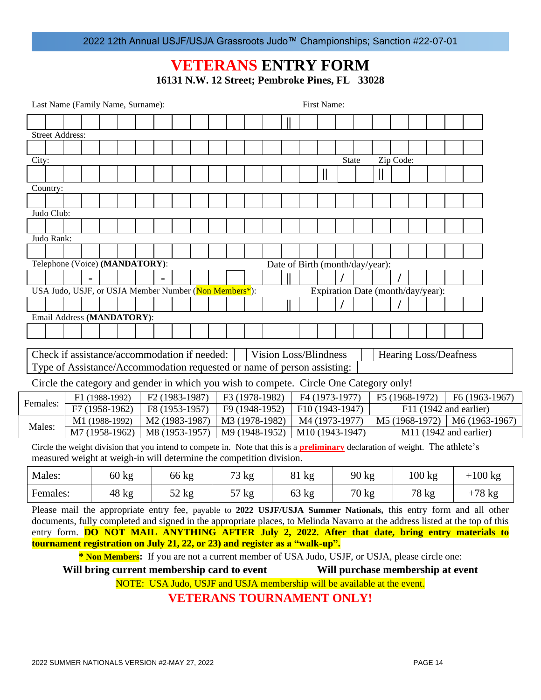## **VETERANS ENTRY FORM**

**16131 N.W. 12 Street; Pembroke Pines, FL 33028**

| Last Name (Family Name, Surname):                                                                                                                                                                                                                                                                                                                  |                                                                                                                                                                              |                 |  |                            |         |  |  |       |                |  |                                 |                 | First Name:  |              |                 |                |                  |                                   |                          |                |
|----------------------------------------------------------------------------------------------------------------------------------------------------------------------------------------------------------------------------------------------------------------------------------------------------------------------------------------------------|------------------------------------------------------------------------------------------------------------------------------------------------------------------------------|-----------------|--|----------------------------|---------|--|--|-------|----------------|--|---------------------------------|-----------------|--------------|--------------|-----------------|----------------|------------------|-----------------------------------|--------------------------|----------------|
|                                                                                                                                                                                                                                                                                                                                                    |                                                                                                                                                                              |                 |  |                            |         |  |  |       |                |  |                                 |                 |              |              |                 |                |                  |                                   |                          |                |
| <b>Street Address:</b>                                                                                                                                                                                                                                                                                                                             |                                                                                                                                                                              |                 |  |                            |         |  |  |       |                |  |                                 |                 |              |              |                 |                |                  |                                   |                          |                |
|                                                                                                                                                                                                                                                                                                                                                    |                                                                                                                                                                              |                 |  |                            |         |  |  |       |                |  |                                 |                 |              |              |                 |                |                  |                                   |                          |                |
| City:                                                                                                                                                                                                                                                                                                                                              |                                                                                                                                                                              |                 |  |                            |         |  |  |       |                |  |                                 |                 |              | <b>State</b> |                 | Zip Code:      |                  |                                   |                          |                |
|                                                                                                                                                                                                                                                                                                                                                    |                                                                                                                                                                              |                 |  |                            |         |  |  |       |                |  |                                 |                 | $\mathsf{I}$ |              |                 |                |                  |                                   |                          |                |
| Country:                                                                                                                                                                                                                                                                                                                                           |                                                                                                                                                                              |                 |  |                            |         |  |  |       |                |  |                                 |                 |              |              |                 |                |                  |                                   |                          |                |
|                                                                                                                                                                                                                                                                                                                                                    |                                                                                                                                                                              |                 |  |                            |         |  |  |       |                |  |                                 |                 |              |              |                 |                |                  |                                   |                          |                |
| Judo Club:                                                                                                                                                                                                                                                                                                                                         |                                                                                                                                                                              |                 |  |                            |         |  |  |       |                |  |                                 |                 |              |              |                 |                |                  |                                   |                          |                |
|                                                                                                                                                                                                                                                                                                                                                    |                                                                                                                                                                              |                 |  |                            |         |  |  |       |                |  |                                 |                 |              |              |                 |                |                  |                                   |                          |                |
| Judo Rank:                                                                                                                                                                                                                                                                                                                                         |                                                                                                                                                                              |                 |  |                            |         |  |  |       |                |  |                                 |                 |              |              |                 |                |                  |                                   |                          |                |
|                                                                                                                                                                                                                                                                                                                                                    |                                                                                                                                                                              |                 |  |                            |         |  |  |       |                |  |                                 |                 |              |              |                 |                |                  |                                   |                          |                |
| Telephone (Voice) (MANDATORY):                                                                                                                                                                                                                                                                                                                     |                                                                                                                                                                              |                 |  |                            |         |  |  |       |                |  | Date of Birth (month/day/year): |                 |              |              |                 |                |                  |                                   |                          |                |
|                                                                                                                                                                                                                                                                                                                                                    |                                                                                                                                                                              |                 |  |                            |         |  |  |       |                |  |                                 |                 |              |              |                 |                |                  |                                   |                          |                |
| USA Judo, USJF, or USJA Member Number (Non Members <sup>*</sup> ):                                                                                                                                                                                                                                                                                 |                                                                                                                                                                              |                 |  |                            |         |  |  |       |                |  |                                 |                 |              |              |                 |                |                  | Expiration Date (month/day/year): |                          |                |
|                                                                                                                                                                                                                                                                                                                                                    |                                                                                                                                                                              |                 |  |                            |         |  |  |       |                |  |                                 |                 |              |              |                 |                |                  |                                   |                          |                |
| Email Address (MANDATORY):                                                                                                                                                                                                                                                                                                                         |                                                                                                                                                                              |                 |  |                            |         |  |  |       |                |  |                                 |                 |              |              |                 |                |                  |                                   |                          |                |
|                                                                                                                                                                                                                                                                                                                                                    |                                                                                                                                                                              |                 |  |                            |         |  |  |       |                |  |                                 |                 |              |              |                 |                |                  |                                   |                          |                |
| Check if assistance/accommodation if needed:                                                                                                                                                                                                                                                                                                       |                                                                                                                                                                              |                 |  |                            |         |  |  |       |                |  | <b>Vision Loss/Blindness</b>    |                 |              |              |                 |                |                  | <b>Hearing Loss/Deafness</b>      |                          |                |
| Type of Assistance/Accommodation requested or name of person assisting:                                                                                                                                                                                                                                                                            |                                                                                                                                                                              |                 |  |                            |         |  |  |       |                |  |                                 |                 |              |              |                 |                |                  |                                   |                          |                |
| Circle the category and gender in which you wish to compete. Circle One Category only!                                                                                                                                                                                                                                                             |                                                                                                                                                                              |                 |  |                            |         |  |  |       |                |  |                                 |                 |              |              |                 |                |                  |                                   |                          |                |
|                                                                                                                                                                                                                                                                                                                                                    | F1 (1988-1992)                                                                                                                                                               |                 |  | F <sub>2</sub> (1983-1987) |         |  |  |       | F3 (1978-1982) |  |                                 | F4 (1973-1977)  |              |              |                 | F5 (1968-1972) |                  |                                   |                          | F6 (1963-1967) |
| Females:                                                                                                                                                                                                                                                                                                                                           | F7 (1958-1962)                                                                                                                                                               |                 |  | F8 (1953-1957)             |         |  |  |       | F9 (1948-1952) |  |                                 | F10 (1943-1947) |              |              |                 |                |                  |                                   | F11 (1942 and earlier)   |                |
| Males:                                                                                                                                                                                                                                                                                                                                             | M1 (1988-1992)                                                                                                                                                               |                 |  | M2 (1983-1987)             |         |  |  |       | M3 (1978-1982) |  |                                 | M4 (1973-1977)  |              |              |                 |                |                  | M5 (1968-1972)                    |                          | M6 (1963-1967) |
|                                                                                                                                                                                                                                                                                                                                                    | M7 (1958-1962)                                                                                                                                                               |                 |  | M8 (1953-1957)             |         |  |  |       | M9 (1948-1952) |  |                                 | M10 (1943-1947) |              |              |                 |                |                  |                                   | $M11$ (1942 and earlier) |                |
| Circle the weight division that you intend to compete in. Note that this is a <b>preliminary</b> declaration of weight. The athlete's<br>measured weight at weigh-in will determine the competition division.                                                                                                                                      |                                                                                                                                                                              |                 |  |                            |         |  |  |       |                |  |                                 |                 |              |              |                 |                |                  |                                   |                          |                |
| Males:                                                                                                                                                                                                                                                                                                                                             |                                                                                                                                                                              | $60 \text{ kg}$ |  |                            | 66 kg   |  |  | 73 kg |                |  |                                 | 81 kg           |              |              | 90 kg           |                | $100 \text{ kg}$ |                                   | $+100$ kg                |                |
| Females:                                                                                                                                                                                                                                                                                                                                           |                                                                                                                                                                              | 48 kg           |  |                            | $52$ kg |  |  | 57 kg |                |  |                                 | $63$ kg         |              |              | $70 \text{ kg}$ |                | 78 kg            |                                   | $+78$ kg                 |                |
| Please mail the appropriate entry fee, payable to 2022 USJF/USJA Summer Nationals, this entry form and all other<br>documents, fully completed and signed in the appropriate places, to Melinda Navarro at the address listed at the top of this<br>entry form. DO NOT MAIL ANYTHING AFTER July 2, 2022. After that date, bring entry materials to |                                                                                                                                                                              |                 |  |                            |         |  |  |       |                |  |                                 |                 |              |              |                 |                |                  |                                   |                          |                |
|                                                                                                                                                                                                                                                                                                                                                    |                                                                                                                                                                              |                 |  |                            |         |  |  |       |                |  |                                 |                 |              |              |                 |                |                  |                                   |                          |                |
|                                                                                                                                                                                                                                                                                                                                                    | tournament registration on July 21, 22, or 23) and register as a "walk-up".<br>* Non Members: If you are not a current member of USA Judo, USJF, or USJA, please circle one: |                 |  |                            |         |  |  |       |                |  |                                 |                 |              |              |                 |                |                  |                                   |                          |                |

**Will bring current membership card to event Will purchase membership at event**

NOTE: USA Judo, USJF and USJA membership will be available at the event.

**VETERANS TOURNAMENT ONLY!**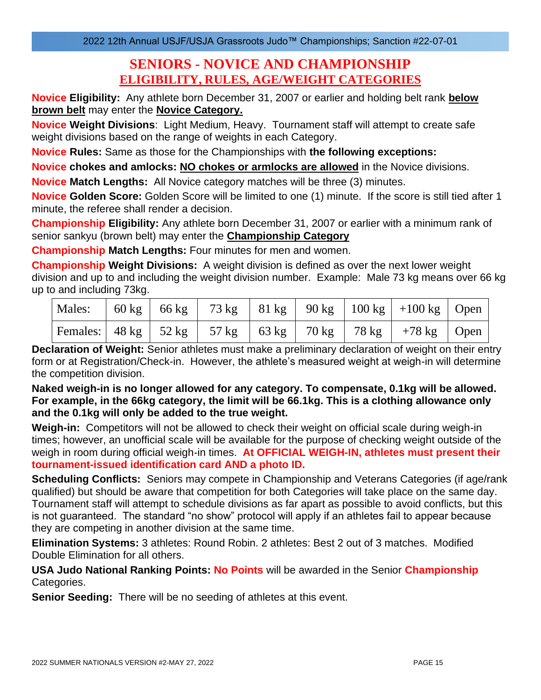## **SENIORS - NOVICE AND CHAMPIONSHIP ELIGIBILITY, RULES, AGE/WEIGHT CATEGORIES**

**Novice Eligibility:** Any athlete born December 31, 2007 or earlier and holding belt rank **below brown belt** may enter the **Novice Category.**

**Novice Weight Divisions**: Light Medium, Heavy. Tournament staff will attempt to create safe weight divisions based on the range of weights in each Category.

**Novice Rules:** Same as those for the Championships with **the following exceptions:**

**Novice chokes and amlocks: NO chokes or armlocks are allowed** in the Novice divisions.

**Novice Match Lengths:** All Novice category matches will be three (3) minutes.

**Novice Golden Score:** Golden Score will be limited to one (1) minute. If the score is still tied after 1 minute, the referee shall render a decision.

**Championship Eligibility:** Any athlete born December 31, 2007 or earlier with a minimum rank of senior sankyu (brown belt) may enter the **Championship Category**

**Championship Match Lengths:** Four minutes for men and women.

**Championship Weight Divisions:** A weight division is defined as over the next lower weight division and up to and including the weight division number. Example: Male 73 kg means over 66 kg up to and including 73kg.

|  |  |  | Males:   60 kg   66 kg   73 kg   81 kg   90 kg   100 kg   +100 kg   Open |  |
|--|--|--|--------------------------------------------------------------------------|--|
|  |  |  | Females:   48 kg   52 kg   57 kg   63 kg   70 kg   78 kg   +78 kg   Open |  |

**Declaration of Weight:** Senior athletes must make a preliminary declaration of weight on their entry form or at Registration/Check-in. However, the athlete's measured weight at weigh-in will determine the competition division.

**Naked weigh-in is no longer allowed for any category. To compensate, 0.1kg will be allowed. For example, in the 66kg category, the limit will be 66.1kg. This is a clothing allowance only and the 0.1kg will only be added to the true weight.**

**Weigh-in:** Competitors will not be allowed to check their weight on official scale during weigh-in times; however, an unofficial scale will be available for the purpose of checking weight outside of the weigh in room during official weigh-in times. **At OFFICIAL WEIGH-IN, athletes must present their tournament-issued identification card AND a photo ID.**

**Scheduling Conflicts:** Seniors may compete in Championship and Veterans Categories (if age/rank qualified) but should be aware that competition for both Categories will take place on the same day. Tournament staff will attempt to schedule divisions as far apart as possible to avoid conflicts, but this is not guaranteed. The standard "no show" protocol will apply if an athletes fail to appear because they are competing in another division at the same time.

**Elimination Systems:** 3 athletes: Round Robin. 2 athletes: Best 2 out of 3 matches. Modified Double Elimination for all others.

**USA Judo National Ranking Points: No Points** will be awarded in the Senior **Championship** Categories.

**Senior Seeding:** There will be no seeding of athletes at this event.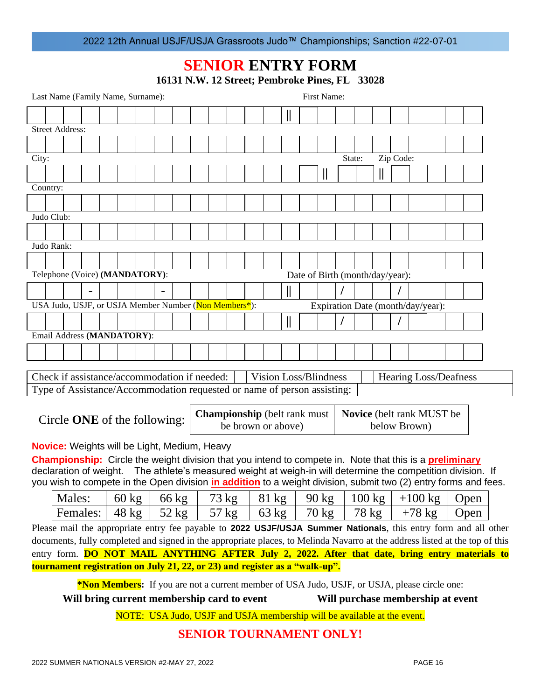## **SENIOR ENTRY FORM**

|  |  | 16131 N.W. 12 Street; Pembroke Pines, FL 33028 |  |  |
|--|--|------------------------------------------------|--|--|
|--|--|------------------------------------------------|--|--|

|                                                     | First Name:<br>Last Name (Family Name, Surname): |                                                                                                                       |  |  |                 |  |  |         |  |                 |  |                                                           |              |                                 |        |                  |    |           |                                            |  |                                                                                                                                                                                                                 |                                                                                                                              |
|-----------------------------------------------------|--------------------------------------------------|-----------------------------------------------------------------------------------------------------------------------|--|--|-----------------|--|--|---------|--|-----------------|--|-----------------------------------------------------------|--------------|---------------------------------|--------|------------------|----|-----------|--------------------------------------------|--|-----------------------------------------------------------------------------------------------------------------------------------------------------------------------------------------------------------------|------------------------------------------------------------------------------------------------------------------------------|
|                                                     |                                                  |                                                                                                                       |  |  |                 |  |  |         |  |                 |  |                                                           | $\mathbb I$  |                                 |        |                  |    |           |                                            |  |                                                                                                                                                                                                                 |                                                                                                                              |
|                                                     |                                                  | <b>Street Address:</b>                                                                                                |  |  |                 |  |  |         |  |                 |  |                                                           |              |                                 |        |                  |    |           |                                            |  |                                                                                                                                                                                                                 |                                                                                                                              |
|                                                     |                                                  |                                                                                                                       |  |  |                 |  |  |         |  |                 |  |                                                           |              |                                 |        |                  |    |           |                                            |  |                                                                                                                                                                                                                 |                                                                                                                              |
| City:                                               |                                                  |                                                                                                                       |  |  |                 |  |  |         |  |                 |  |                                                           |              |                                 | State: |                  |    | Zip Code: |                                            |  |                                                                                                                                                                                                                 |                                                                                                                              |
|                                                     |                                                  |                                                                                                                       |  |  |                 |  |  |         |  |                 |  |                                                           |              | II                              |        |                  | II |           |                                            |  |                                                                                                                                                                                                                 |                                                                                                                              |
|                                                     | Country:                                         |                                                                                                                       |  |  |                 |  |  |         |  |                 |  |                                                           |              |                                 |        |                  |    |           |                                            |  |                                                                                                                                                                                                                 |                                                                                                                              |
|                                                     |                                                  |                                                                                                                       |  |  |                 |  |  |         |  |                 |  |                                                           |              |                                 |        |                  |    |           |                                            |  |                                                                                                                                                                                                                 |                                                                                                                              |
|                                                     | Judo Club:                                       |                                                                                                                       |  |  |                 |  |  |         |  |                 |  |                                                           |              |                                 |        |                  |    |           |                                            |  |                                                                                                                                                                                                                 |                                                                                                                              |
|                                                     |                                                  |                                                                                                                       |  |  |                 |  |  |         |  |                 |  |                                                           |              |                                 |        |                  |    |           |                                            |  |                                                                                                                                                                                                                 |                                                                                                                              |
|                                                     | Judo Rank:                                       |                                                                                                                       |  |  |                 |  |  |         |  |                 |  |                                                           |              |                                 |        |                  |    |           |                                            |  |                                                                                                                                                                                                                 |                                                                                                                              |
|                                                     |                                                  |                                                                                                                       |  |  |                 |  |  |         |  |                 |  |                                                           |              |                                 |        |                  |    |           |                                            |  |                                                                                                                                                                                                                 |                                                                                                                              |
|                                                     |                                                  | Telephone (Voice) (MANDATORY):                                                                                        |  |  |                 |  |  |         |  |                 |  |                                                           |              | Date of Birth (month/day/year): |        |                  |    |           |                                            |  |                                                                                                                                                                                                                 |                                                                                                                              |
|                                                     |                                                  |                                                                                                                       |  |  |                 |  |  |         |  |                 |  |                                                           | $\mathbb{I}$ |                                 |        |                  |    |           |                                            |  |                                                                                                                                                                                                                 |                                                                                                                              |
|                                                     |                                                  | USA Judo, USJF, or USJA Member Number (Non Members*):                                                                 |  |  |                 |  |  |         |  |                 |  |                                                           |              |                                 |        |                  |    |           | Expiration Date (month/day/year):          |  |                                                                                                                                                                                                                 |                                                                                                                              |
|                                                     |                                                  |                                                                                                                       |  |  |                 |  |  |         |  |                 |  |                                                           | $\mathbb{I}$ |                                 |        |                  |    |           |                                            |  |                                                                                                                                                                                                                 |                                                                                                                              |
|                                                     |                                                  | Email Address (MANDATORY):                                                                                            |  |  |                 |  |  |         |  |                 |  |                                                           |              |                                 |        |                  |    |           |                                            |  |                                                                                                                                                                                                                 |                                                                                                                              |
|                                                     |                                                  |                                                                                                                       |  |  |                 |  |  |         |  |                 |  |                                                           |              |                                 |        |                  |    |           |                                            |  |                                                                                                                                                                                                                 |                                                                                                                              |
|                                                     |                                                  |                                                                                                                       |  |  |                 |  |  |         |  |                 |  |                                                           |              |                                 |        |                  |    |           |                                            |  |                                                                                                                                                                                                                 |                                                                                                                              |
|                                                     |                                                  | Check if assistance/accommodation if needed:                                                                          |  |  |                 |  |  |         |  |                 |  | <b>Vision Loss/Blindness</b>                              |              |                                 |        |                  |    |           | <b>Hearing Loss/Deafness</b>               |  |                                                                                                                                                                                                                 |                                                                                                                              |
|                                                     |                                                  | Type of Assistance/Accommodation requested or name of person assisting:                                               |  |  |                 |  |  |         |  |                 |  |                                                           |              |                                 |        |                  |    |           |                                            |  |                                                                                                                                                                                                                 |                                                                                                                              |
|                                                     |                                                  |                                                                                                                       |  |  |                 |  |  |         |  |                 |  |                                                           |              |                                 |        |                  |    |           |                                            |  |                                                                                                                                                                                                                 |                                                                                                                              |
|                                                     |                                                  | Circle <b>ONE</b> of the following:                                                                                   |  |  |                 |  |  |         |  |                 |  | <b>Championship</b> (belt rank must<br>be brown or above) |              |                                 |        |                  |    |           | Novice (belt rank MUST be)<br>below Brown) |  |                                                                                                                                                                                                                 |                                                                                                                              |
|                                                     |                                                  |                                                                                                                       |  |  |                 |  |  |         |  |                 |  |                                                           |              |                                 |        |                  |    |           |                                            |  |                                                                                                                                                                                                                 |                                                                                                                              |
| <b>Novice:</b> Weights will be Light, Medium, Heavy |                                                  |                                                                                                                       |  |  |                 |  |  |         |  |                 |  |                                                           |              |                                 |        |                  |    |           |                                            |  |                                                                                                                                                                                                                 |                                                                                                                              |
|                                                     |                                                  | <b>Championship:</b> Circle the weight division that you intend to compete in. Note that this is a <b>preliminary</b> |  |  |                 |  |  |         |  |                 |  |                                                           |              |                                 |        |                  |    |           |                                            |  |                                                                                                                                                                                                                 |                                                                                                                              |
|                                                     |                                                  | declaration of weight.                                                                                                |  |  |                 |  |  |         |  |                 |  |                                                           |              |                                 |        |                  |    |           |                                            |  | The athlete's measured weight at weigh-in will determine the competition division. If<br>you wish to compete in the Open division <i>in addition</i> to a weight division, submit two (2) entry forms and fees. |                                                                                                                              |
|                                                     |                                                  | Males:                                                                                                                |  |  | $60 \text{ kg}$ |  |  | 66 kg   |  | $73 \text{ kg}$ |  | $81 \text{ kg}$                                           |              | $90 \text{ kg}$                 |        | $100 \text{ kg}$ |    |           | $+100$ kg                                  |  | Open                                                                                                                                                                                                            |                                                                                                                              |
|                                                     |                                                  | Females:                                                                                                              |  |  | $48 \text{ kg}$ |  |  | $52$ kg |  | $57 \text{ kg}$ |  | $63 \text{ kg}$                                           |              | $70 \text{ kg}$                 |        | 78 kg            |    |           | $+78$ kg                                   |  | Open                                                                                                                                                                                                            |                                                                                                                              |
|                                                     |                                                  |                                                                                                                       |  |  |                 |  |  |         |  |                 |  |                                                           |              |                                 |        |                  |    |           |                                            |  |                                                                                                                                                                                                                 | Please mail the appropriate entry fee payable to 2022 USJF/USJA Summer Nationals, this entry form and all other              |
|                                                     |                                                  |                                                                                                                       |  |  |                 |  |  |         |  |                 |  |                                                           |              |                                 |        |                  |    |           |                                            |  |                                                                                                                                                                                                                 | documents, fully completed and signed in the appropriate places, to Melinda Navarro at the address listed at the top of this |
|                                                     |                                                  |                                                                                                                       |  |  |                 |  |  |         |  |                 |  |                                                           |              |                                 |        |                  |    |           |                                            |  |                                                                                                                                                                                                                 | entry form. <b>DO NOT MAIL ANYTHING AFTER July 2, 2022. After that date, bring entry materials to</b>                        |

**tournament registration on July 21, 22, or 23) and register as a "walk-up".**

**\*Non Members:** If you are not a current member of USA Judo, USJF, or USJA, please circle one:

**Will bring current membership card to event Will purchase membership at event**

NOTE: USA Judo, USJF and USJA membership will be available at the event.

## **SENIOR TOURNAMENT ONLY!**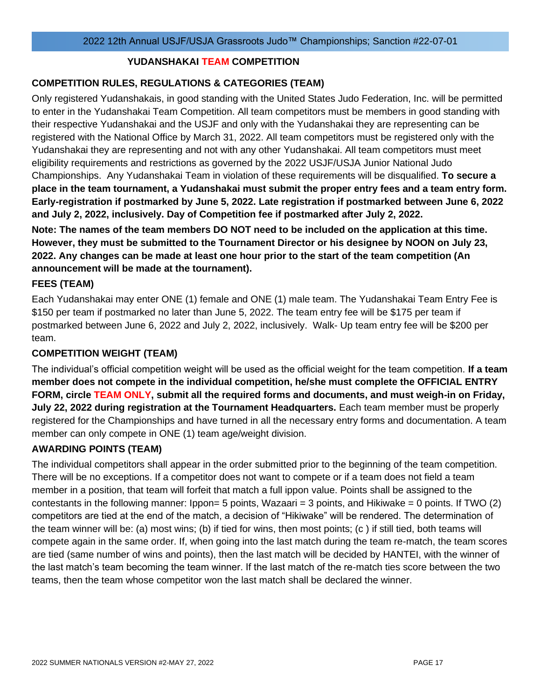## **YUDANSHAKAI TEAM COMPETITION**

## **COMPETITION RULES, REGULATIONS & CATEGORIES (TEAM)**

Only registered Yudanshakais, in good standing with the United States Judo Federation, Inc. will be permitted to enter in the Yudanshakai Team Competition. All team competitors must be members in good standing with their respective Yudanshakai and the USJF and only with the Yudanshakai they are representing can be registered with the National Office by March 31, 2022. All team competitors must be registered only with the Yudanshakai they are representing and not with any other Yudanshakai. All team competitors must meet eligibility requirements and restrictions as governed by the 2022 USJF/USJA Junior National Judo Championships. Any Yudanshakai Team in violation of these requirements will be disqualified. **To secure a place in the team tournament, a Yudanshakai must submit the proper entry fees and a team entry form. Early-registration if postmarked by June 5, 2022. Late registration if postmarked between June 6, 2022 and July 2, 2022, inclusively. Day of Competition fee if postmarked after July 2, 2022.**

**Note: The names of the team members DO NOT need to be included on the application at this time. However, they must be submitted to the Tournament Director or his designee by NOON on July 23, 2022. Any changes can be made at least one hour prior to the start of the team competition (An announcement will be made at the tournament).**

## **FEES (TEAM)**

Each Yudanshakai may enter ONE (1) female and ONE (1) male team. The Yudanshakai Team Entry Fee is \$150 per team if postmarked no later than June 5, 2022. The team entry fee will be \$175 per team if postmarked between June 6, 2022 and July 2, 2022, inclusively. Walk- Up team entry fee will be \$200 per team.

## **COMPETITION WEIGHT (TEAM)**

The individual's official competition weight will be used as the official weight for the team competition. **If a team member does not compete in the individual competition, he/she must complete the OFFICIAL ENTRY FORM, circle TEAM ONLY, submit all the required forms and documents, and must weigh-in on Friday, July 22, 2022 during registration at the Tournament Headquarters.** Each team member must be properly registered for the Championships and have turned in all the necessary entry forms and documentation. A team member can only compete in ONE (1) team age/weight division.

## **AWARDING POINTS (TEAM)**

The individual competitors shall appear in the order submitted prior to the beginning of the team competition. There will be no exceptions. If a competitor does not want to compete or if a team does not field a team member in a position, that team will forfeit that match a full ippon value. Points shall be assigned to the contestants in the following manner:  $1$ ppon= 5 points, Wazaari = 3 points, and Hikiwake = 0 points. If TWO (2) competitors are tied at the end of the match, a decision of "Hikiwake" will be rendered. The determination of the team winner will be: (a) most wins; (b) if tied for wins, then most points; (c ) if still tied, both teams will compete again in the same order. If, when going into the last match during the team re-match, the team scores are tied (same number of wins and points), then the last match will be decided by HANTEI, with the winner of the last match's team becoming the team winner. If the last match of the re-match ties score between the two teams, then the team whose competitor won the last match shall be declared the winner.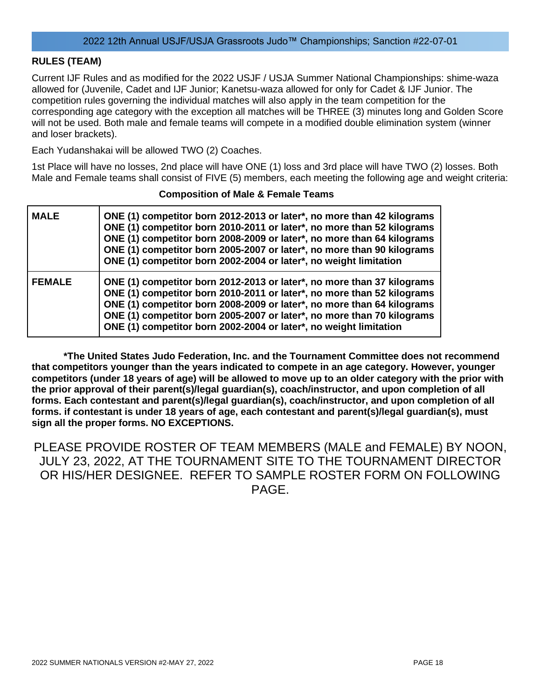## **RULES (TEAM)**

Current IJF Rules and as modified for the 2022 USJF / USJA Summer National Championships: shime-waza allowed for (Juvenile, Cadet and IJF Junior; Kanetsu-waza allowed for only for Cadet & IJF Junior. The competition rules governing the individual matches will also apply in the team competition for the corresponding age category with the exception all matches will be THREE (3) minutes long and Golden Score will not be used. Both male and female teams will compete in a modified double elimination system (winner and loser brackets).

Each Yudanshakai will be allowed TWO (2) Coaches.

1st Place will have no losses, 2nd place will have ONE (1) loss and 3rd place will have TWO (2) losses. Both Male and Female teams shall consist of FIVE (5) members, each meeting the following age and weight criteria:

| <b>MALE</b>   | ONE (1) competitor born 2012-2013 or later*, no more than 42 kilograms<br>ONE (1) competitor born 2010-2011 or later*, no more than 52 kilograms<br>ONE (1) competitor born 2008-2009 or later*, no more than 64 kilograms<br>ONE (1) competitor born 2005-2007 or later*, no more than 90 kilograms<br>ONE (1) competitor born 2002-2004 or later*, no weight limitation |
|---------------|---------------------------------------------------------------------------------------------------------------------------------------------------------------------------------------------------------------------------------------------------------------------------------------------------------------------------------------------------------------------------|
| <b>FEMALE</b> | ONE (1) competitor born 2012-2013 or later*, no more than 37 kilograms<br>ONE (1) competitor born 2010-2011 or later*, no more than 52 kilograms<br>ONE (1) competitor born 2008-2009 or later*, no more than 64 kilograms<br>ONE (1) competitor born 2005-2007 or later*, no more than 70 kilograms<br>ONE (1) competitor born 2002-2004 or later*, no weight limitation |

#### **Composition of Male & Female Teams**

**\*The United States Judo Federation, Inc. and the Tournament Committee does not recommend that competitors younger than the years indicated to compete in an age category. However, younger competitors (under 18 years of age) will be allowed to move up to an older category with the prior with the prior approval of their parent(s)/legal guardian(s), coach/instructor, and upon completion of all forms. Each contestant and parent(s)/legal guardian(s), coach/instructor, and upon completion of all forms. if contestant is under 18 years of age, each contestant and parent(s)/legal guardian(s), must sign all the proper forms. NO EXCEPTIONS.**

PLEASE PROVIDE ROSTER OF TEAM MEMBERS (MALE and FEMALE) BY NOON, JULY 23, 2022, AT THE TOURNAMENT SITE TO THE TOURNAMENT DIRECTOR OR HIS/HER DESIGNEE. REFER TO SAMPLE ROSTER FORM ON FOLLOWING PAGE.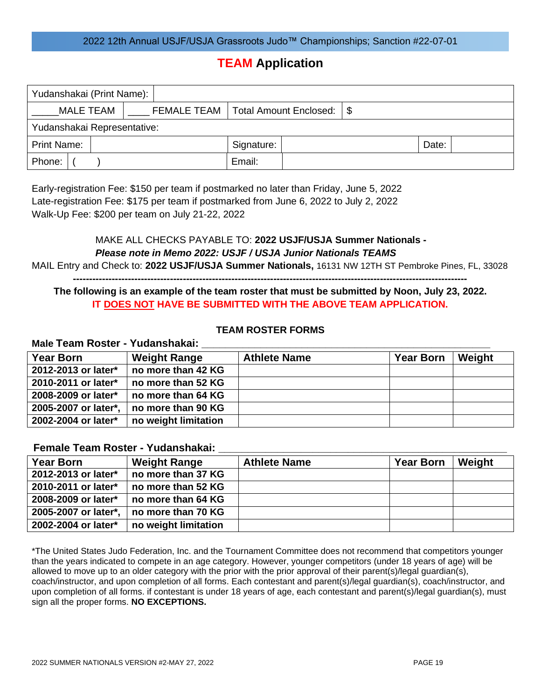## **TEAM Application**

| Yudanshakai (Print Name):   |  |                                           |  |        |       |  |  |  |  |
|-----------------------------|--|-------------------------------------------|--|--------|-------|--|--|--|--|
| MALE TEAM                   |  | FEMALE TEAM   Total Amount Enclosed:   \$ |  |        |       |  |  |  |  |
| Yudanshakai Representative: |  |                                           |  |        |       |  |  |  |  |
| <b>Print Name:</b>          |  | Signature:                                |  |        | Date: |  |  |  |  |
| Phone:                      |  |                                           |  | Email: |       |  |  |  |  |

Early-registration Fee: \$150 per team if postmarked no later than Friday, June 5, 2022 Late-registration Fee: \$175 per team if postmarked from June 6, 2022 to July 2, 2022 Walk-Up Fee: \$200 per team on July 21-22, 2022

## MAKE ALL CHECKS PAYABLE TO: **2022 USJF/USJA Summer Nationals -** *Please note in Memo 2022: USJF / USJA Junior Nationals TEAMS* MAIL Entry and Check to: **2022 USJF/USJA Summer Nationals,** 16131 NW 12TH ST Pembroke Pines, FL, 33028

**--------------------------------------------------------------------------------------------------------------------------**

## **The following is an example of the team roster that must be submitted by Noon, July 23, 2022. IT DOES NOT HAVE BE SUBMITTED WITH THE ABOVE TEAM APPLICATION.**

## **TEAM ROSTER FORMS**

#### **Male Team Roster - Yudanshakai: \_\_\_\_\_\_\_\_\_\_\_\_\_\_\_\_\_\_\_\_\_\_\_\_\_\_\_\_\_\_\_\_\_\_\_\_\_\_\_\_\_\_\_\_\_\_\_\_\_**

| <b>Year Born</b>     | <b>Weight Range</b>  | <b>Athlete Name</b> | <b>Year Born</b> | Weight |
|----------------------|----------------------|---------------------|------------------|--------|
| 2012-2013 or later*  | no more than 42 KG   |                     |                  |        |
| 2010-2011 or later*  | no more than 52 KG   |                     |                  |        |
| 2008-2009 or later*  | no more than 64 KG   |                     |                  |        |
| 2005-2007 or later*, | no more than 90 KG   |                     |                  |        |
| 2002-2004 or later*  | no weight limitation |                     |                  |        |

## **Female Team Roster - Yudanshakai: \_\_\_\_\_\_\_\_\_\_\_\_\_\_\_\_\_\_\_\_\_\_\_\_\_\_\_\_\_\_\_\_\_\_\_\_\_\_\_\_\_\_\_\_\_\_\_\_\_**

| <b>Year Born</b>     | <b>Weight Range</b>  | <b>Athlete Name</b> | <b>Year Born</b> | Weight |
|----------------------|----------------------|---------------------|------------------|--------|
| 2012-2013 or later*  | no more than 37 KG   |                     |                  |        |
| 2010-2011 or later*  | no more than 52 KG   |                     |                  |        |
| 2008-2009 or later*  | no more than 64 KG   |                     |                  |        |
| 2005-2007 or later*, | no more than 70 KG   |                     |                  |        |
| 2002-2004 or later*  | no weight limitation |                     |                  |        |

\*The United States Judo Federation, Inc. and the Tournament Committee does not recommend that competitors younger than the years indicated to compete in an age category. However, younger competitors (under 18 years of age) will be allowed to move up to an older category with the prior with the prior approval of their parent(s)/legal guardian(s), coach/instructor, and upon completion of all forms. Each contestant and parent(s)/legal guardian(s), coach/instructor, and upon completion of all forms. if contestant is under 18 years of age, each contestant and parent(s)/legal guardian(s), must sign all the proper forms. **NO EXCEPTIONS.**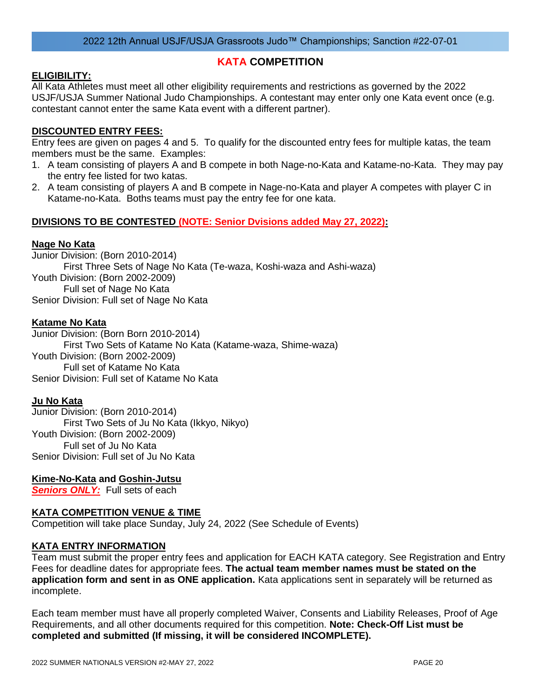## **KATA COMPETITION**

## **ELIGIBILITY:**

All Kata Athletes must meet all other eligibility requirements and restrictions as governed by the 2022 USJF/USJA Summer National Judo Championships. A contestant may enter only one Kata event once (e.g. contestant cannot enter the same Kata event with a different partner).

## **DISCOUNTED ENTRY FEES:**

Entry fees are given on pages 4 and 5. To qualify for the discounted entry fees for multiple katas, the team members must be the same. Examples:

- 1. A team consisting of players A and B compete in both Nage-no-Kata and Katame-no-Kata. They may pay the entry fee listed for two katas.
- 2. A team consisting of players A and B compete in Nage-no-Kata and player A competes with player C in Katame-no-Kata. Boths teams must pay the entry fee for one kata.

## **DIVISIONS TO BE CONTESTED (NOTE: Senior Dvisions added May 27, 2022):**

### **Nage No Kata**

Junior Division: (Born 2010-2014) First Three Sets of Nage No Kata (Te-waza, Koshi-waza and Ashi-waza) Youth Division: (Born 2002-2009) Full set of Nage No Kata Senior Division: Full set of Nage No Kata

## **Katame No Kata**

Junior Division: (Born Born 2010-2014) First Two Sets of Katame No Kata (Katame-waza, Shime-waza) Youth Division: (Born 2002-2009) Full set of Katame No Kata Senior Division: Full set of Katame No Kata

### **Ju No Kata**

Junior Division: (Born 2010-2014) First Two Sets of Ju No Kata (Ikkyo, Nikyo) Youth Division: (Born 2002-2009) Full set of Ju No Kata Senior Division: Full set of Ju No Kata

### **Kime-No-Kata and Goshin-Jutsu**

**Seniors ONLY:** Full sets of each

## **KATA COMPETITION VENUE & TIME**

Competition will take place Sunday, July 24, 2022 (See Schedule of Events)

## **KATA ENTRY INFORMATION**

Team must submit the proper entry fees and application for EACH KATA category. See Registration and Entry Fees for deadline dates for appropriate fees. **The actual team member names must be stated on the application form and sent in as ONE application.** Kata applications sent in separately will be returned as incomplete.

Each team member must have all properly completed Waiver, Consents and Liability Releases, Proof of Age Requirements, and all other documents required for this competition. **Note: Check-Off List must be completed and submitted (If missing, it will be considered INCOMPLETE).**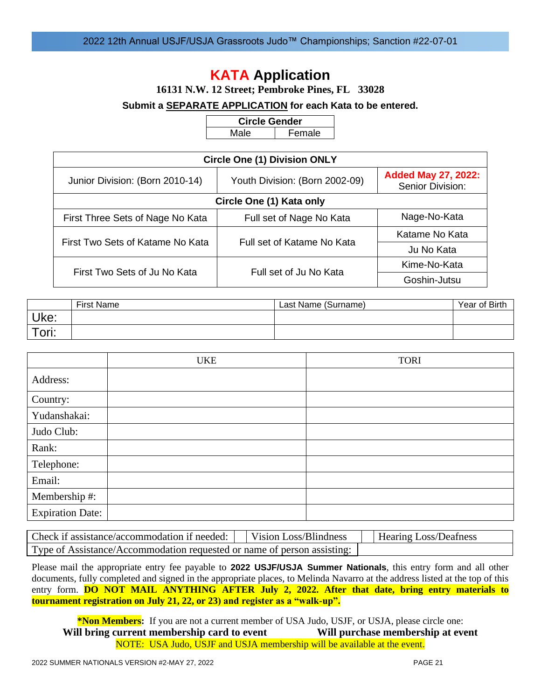## **KATA Application**

**16131 N.W. 12 Street; Pembroke Pines, FL 33028**

### **Submit a SEPARATE APPLICATION for each Kata to be entered.**

**Circle Gender** Male | Female

| <b>Circle One (1) Division ONLY</b> |                                |                                                |  |  |  |  |  |  |  |
|-------------------------------------|--------------------------------|------------------------------------------------|--|--|--|--|--|--|--|
| Junior Division: (Born 2010-14)     | Youth Division: (Born 2002-09) | <b>Added May 27, 2022:</b><br>Senior Division: |  |  |  |  |  |  |  |
| Circle One (1) Kata only            |                                |                                                |  |  |  |  |  |  |  |
| First Three Sets of Nage No Kata    | Full set of Nage No Kata       | Nage-No-Kata                                   |  |  |  |  |  |  |  |
| First Two Sets of Katame No Kata    |                                | Katame No Kata                                 |  |  |  |  |  |  |  |
|                                     | Full set of Katame No Kata     | Ju No Kata                                     |  |  |  |  |  |  |  |
| First Two Sets of Ju No Kata        | Full set of Ju No Kata         | Kime-No-Kata                                   |  |  |  |  |  |  |  |
|                                     |                                | Goshin-Jutsu                                   |  |  |  |  |  |  |  |

|             | <b>First Name</b> | Last Name (Surname) | Year of Birth |
|-------------|-------------------|---------------------|---------------|
| Uke:        |                   |                     |               |
| $\tau$ ori: |                   |                     |               |

|                         | <b>UKE</b> | <b>TORI</b> |
|-------------------------|------------|-------------|
| Address:                |            |             |
| Country:                |            |             |
| Yudanshakai:            |            |             |
| Judo Club:              |            |             |
| Rank:                   |            |             |
| Telephone:              |            |             |
| Email:                  |            |             |
| Membership #:           |            |             |
| <b>Expiration Date:</b> |            |             |

| Check if assistance/accommodation if needed:     Vision Loss/Blindness  |  | Hearing Loss/Deafness |
|-------------------------------------------------------------------------|--|-----------------------|
| Type of Assistance/Accommodation requested or name of person assisting: |  |                       |

Please mail the appropriate entry fee payable to **2022 USJF/USJA Summer Nationals**, this entry form and all other documents, fully completed and signed in the appropriate places, to Melinda Navarro at the address listed at the top of this entry form. **DO NOT MAIL ANYTHING AFTER July 2, 2022.** After that date, bring entry materials to **tournament registration on July 21, 22, or 23) and register as a "walk-up".**

**\*Non Members:** If you are not a current member of USA Judo, USJF, or USJA, please circle one: **Will bring current membership card to event Will purchase membership at event** NOTE: USA Judo, USJF and USJA membership will be available at the event.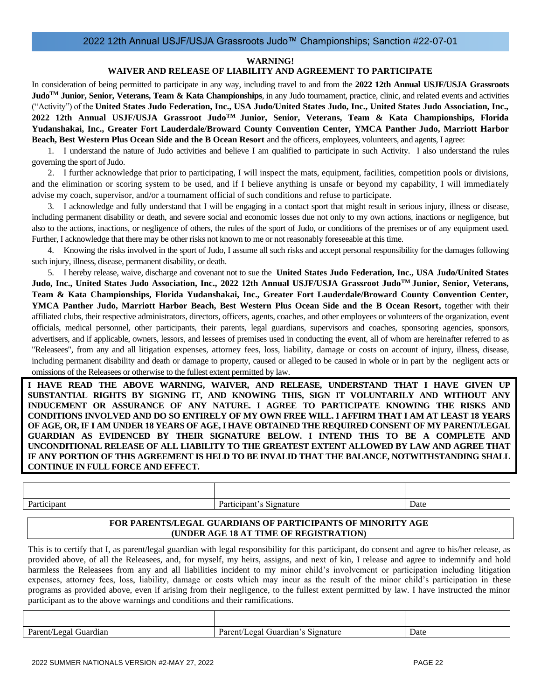#### **WARNING!**

#### **WAIVER AND RELEASE OF LIABILITY AND AGREEMENT TO PARTICIPATE**

In consideration of being permitted to participate in any way, including travel to and from the **2022 12th Annual USJF/USJA Grassroots JudoTM Junior, Senior, Veterans, Team & Kata Championships**, in any Judo tournament, practice, clinic, and related events and activities ("Activity") of the **United States Judo Federation, Inc., USA Judo/United States Judo, Inc., United States Judo Association, Inc., 2022 12th Annual USJF/USJA Grassroot JudoTM Junior, Senior, Veterans, Team & Kata Championships, Florida Yudanshakai, Inc., Greater Fort Lauderdale/Broward County Convention Center, YMCA Panther Judo, Marriott Harbor Beach, Best Western Plus Ocean Side and the B Ocean Resort** and the officers, employees, volunteers, and agents, I agree:

1. I understand the nature of Judo activities and believe I am qualified to participate in such Activity. I also understand the rules governing the sport of Judo.

2. I further acknowledge that prior to participating, I will inspect the mats, equipment, facilities, competition pools or divisions, and the elimination or scoring system to be used, and if I believe anything is unsafe or beyond my capability, I will immediately advise my coach, supervisor, and/or a tournament official of such conditions and refuse to participate.

3. I acknowledge and fully understand that I will be engaging in a contact sport that might result in serious injury, illness or disease, including permanent disability or death, and severe social and economic losses due not only to my own actions, inactions or negligence, but also to the actions, inactions, or negligence of others, the rules of the sport of Judo, or conditions of the premises or of any equipment used. Further, I acknowledge that there may be other risks not known to me or not reasonably foreseeable at this time.

4. Knowing the risks involved in the sport of Judo, I assume all such risks and accept personal responsibility for the damages following such injury, illness, disease, permanent disability, or death.

5. I hereby release, waive, discharge and covenant not to sue the **United States Judo Federation, Inc., USA Judo/United States Judo, Inc., United States Judo Association, Inc., 2022 12th Annual USJF/USJA Grassroot JudoTM Junior, Senior, Veterans, Team & Kata Championships, Florida Yudanshakai, Inc., Greater Fort Lauderdale/Broward County Convention Center, YMCA Panther Judo, Marriott Harbor Beach, Best Western Plus Ocean Side and the B Ocean Resort,** together with their affiliated clubs, their respective administrators, directors, officers, agents, coaches, and other employees or volunteers of the organization, event officials, medical personnel, other participants, their parents, legal guardians, supervisors and coaches, sponsoring agencies, sponsors, advertisers, and if applicable, owners, lessors, and lessees of premises used in conducting the event, all of whom are hereinafter referred to as "Releasees", from any and all litigation expenses, attorney fees, loss, liability, damage or costs on account of injury, illness, disease, including permanent disability and death or damage to property, caused or alleged to be caused in whole or in part by the negligent acts or omissions of the Releasees or otherwise to the fullest extent permitted by law.

**I HAVE READ THE ABOVE WARNING, WAIVER, AND RELEASE, UNDERSTAND THAT I HAVE GIVEN UP SUBSTANTIAL RIGHTS BY SIGNING IT, AND KNOWING THIS, SIGN IT VOLUNTARILY AND WITHOUT ANY INDUCEMENT OR ASSURANCE OF ANY NATURE. I AGREE TO PARTICIPATE KNOWING THE RISKS AND CONDITIONS INVOLVED AND DO SO ENTIRELY OF MY OWN FREE WILL. I AFFIRM THAT I AM AT LEAST 18 YEARS OF AGE, OR, IF I AM UNDER 18 YEARS OF AGE, I HAVE OBTAINED THE REQUIRED CONSENT OF MY PARENT/LEGAL GUARDIAN AS EVIDENCED BY THEIR SIGNATURE BELOW. I INTEND THIS TO BE A COMPLETE AND UNCONDITIONAL RELEASE OF ALL LIABILITY TO THE GREATEST EXTENT ALLOWED BY LAW AND AGREE THAT IF ANY PORTION OF THIS AGREEMENT IS HELD TO BE INVALID THAT THE BALANCE, NOTWITHSTANDING SHALL CONTINUE IN FULL FORCE AND EFFECT.**

| $\mathbf{D}_{\alpha}$<br>лан<br>ı aıt | $\mathbf{\mathbf{r}}$<br>120<br>1494<br>$\sim$ $\sim$ $\sim$<br>⊷<br>natur c<br>. | Date |
|---------------------------------------|-----------------------------------------------------------------------------------|------|

#### **FOR PARENTS/LEGAL GUARDIANS OF PARTICIPANTS OF MINORITY AGE (UNDER AGE 18 AT TIME OF REGISTRATION)**

This is to certify that I, as parent/legal guardian with legal responsibility for this participant, do consent and agree to his/her release, as provided above, of all the Releasees, and, for myself, my heirs, assigns, and next of kin, I release and agree to indemnify and hold harmless the Releasees from any and all liabilities incident to my minor child's involvement or participation including litigation expenses, attorney fees, loss, liability, damage or costs which may incur as the result of the minor child's participation in these programs as provided above, even if arising from their negligence, to the fullest extent permitted by law. I have instructed the minor participant as to the above warnings and conditions and their ramifications.

| Parent/Legal<br>Guardian | $\sim$<br>Parent.<br>51gnature<br>egal<br>Guardian´s<br>◡ | Date |
|--------------------------|-----------------------------------------------------------|------|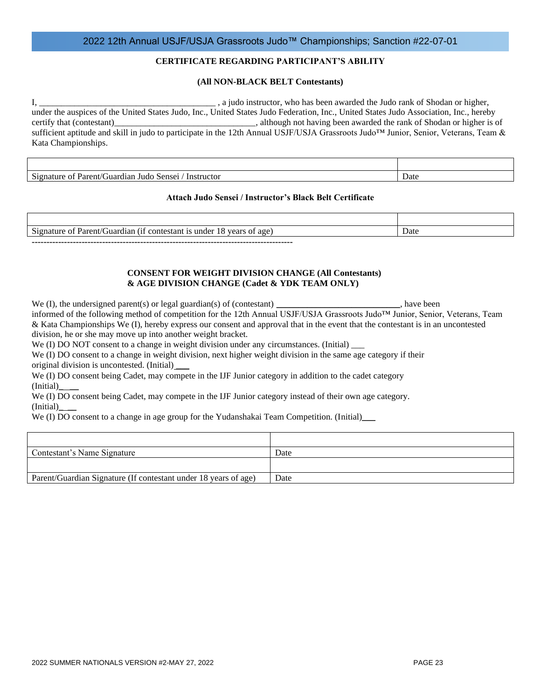#### **CERTIFICATE REGARDING PARTICIPANT'S ABILITY**

#### **(All NON-BLACK BELT Contestants)**

I, \_\_\_\_\_\_\_\_\_\_\_\_\_\_\_\_\_\_\_\_\_\_\_\_\_\_\_\_\_\_\_\_\_\_\_\_\_\_\_\_ , a judo instructor, who has been awarded the Judo rank of Shodan or higher, under the auspices of the United States Judo, Inc., United States Judo Federation, Inc., United States Judo Association, Inc., hereby certify that (contestant) certify that (contestant) certify that (contestant) certify that (contestant) contestant sufficient aptitude and skill in judo to participate in the 12th Annual USJF/USJA Grassroots Judo™ Junior, Senior, Veterans, Team & Kata Championships.

Signature of Parent/Guardian Judo Sensei / Instructor Date

#### **Attach Judo Sensei / Instructor's Black Belt Certificate**

| -<br>vears<br>testan<br>$\sim$<br>$\mathbf{P}$ grap'<br>. .<br>. 111.ar<br>$^{\circ}$ Onte $_{\circ}$<br><b>ALCOHOL</b><br>11.95<br>.12T<br>age<br>m<br>⊶ו<br>и<br>$\mathbf{v}$ | Date |
|---------------------------------------------------------------------------------------------------------------------------------------------------------------------------------|------|

**-----------------------------------------------------------------------------------------**

#### **CONSENT FOR WEIGHT DIVISION CHANGE (All Contestants) & AGE DIVISION CHANGE (Cadet & YDK TEAM ONLY)**

We (I), the undersigned parent(s) or legal guardian(s) of (contestant) \_\_\_\_\_\_\_\_\_\_\_\_\_\_\_\_\_\_\_\_\_\_\_\_\_\_, have been informed of the following method of competition for the 12th Annual USJF/USJA Grassroots Judo™ Junior, Senior, Veterans, Team & Kata Championships We (I), hereby express our consent and approval that in the event that the contestant is in an uncontested division, he or she may move up into another weight bracket.

We (I) DO NOT consent to a change in weight division under any circumstances. (Initial)

We (I) DO consent to a change in weight division, next higher weight division in the same age category if their original division is uncontested. (Initial) \_\_\_

We (I) DO consent being Cadet, may compete in the IJF Junior category in addition to the cadet category (Initial)\_ \_\_

We (I) DO consent being Cadet, may compete in the IJF Junior category instead of their own age category. (Initial)\_ \_\_

We (I) DO consent to a change in age group for the Yudanshakai Team Competition. (Initial)\_\_\_

| Contestant's Name Signature                                     | Date |
|-----------------------------------------------------------------|------|
|                                                                 |      |
| Parent/Guardian Signature (If contestant under 18 years of age) | Date |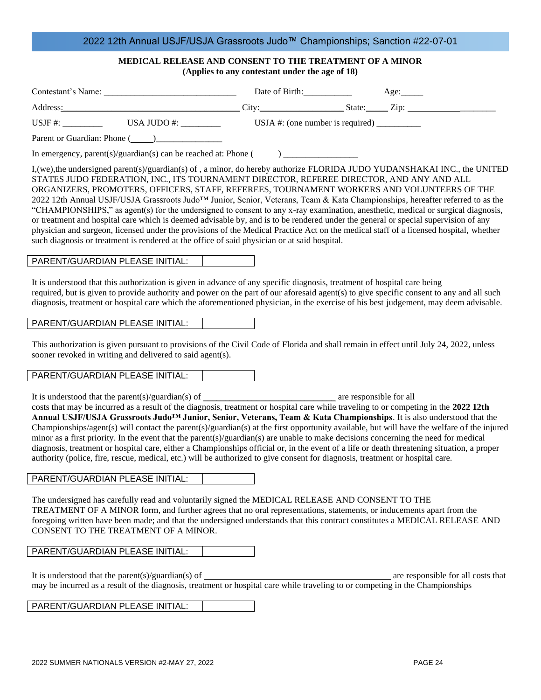## **MEDICAL RELEASE AND CONSENT TO THE TREATMENT OF A MINOR**

|  | (Applies to any contestant under the age of 18) |  |  |
|--|-------------------------------------------------|--|--|
|  |                                                 |  |  |

|                                                                                                                                                                                                                                               | Date of Birth: Age:                              |                                                                                                                                                                                                                                                                                                                                                                                                                                                                                                                                                                                                                                                                                                                                                                                                                                                                                      |  |
|-----------------------------------------------------------------------------------------------------------------------------------------------------------------------------------------------------------------------------------------------|--------------------------------------------------|--------------------------------------------------------------------------------------------------------------------------------------------------------------------------------------------------------------------------------------------------------------------------------------------------------------------------------------------------------------------------------------------------------------------------------------------------------------------------------------------------------------------------------------------------------------------------------------------------------------------------------------------------------------------------------------------------------------------------------------------------------------------------------------------------------------------------------------------------------------------------------------|--|
|                                                                                                                                                                                                                                               |                                                  | Address: Zip: Zip: Zip: Xiddress: Zip: Xiddress: Zip: Zip: Xiddress: Zip: Xiddress: Zip: Xiddress: Zip: Xiddless: Zip: Xiddless: Zip: Xiddless: Zip: Xiddless: Xiddless: Xiddless: Xiddless: Xiddless: Xiddless: Xiddless: Xid                                                                                                                                                                                                                                                                                                                                                                                                                                                                                                                                                                                                                                                       |  |
|                                                                                                                                                                                                                                               | USJA #: (one number is required) $\frac{\ }{\ }$ |                                                                                                                                                                                                                                                                                                                                                                                                                                                                                                                                                                                                                                                                                                                                                                                                                                                                                      |  |
|                                                                                                                                                                                                                                               |                                                  |                                                                                                                                                                                                                                                                                                                                                                                                                                                                                                                                                                                                                                                                                                                                                                                                                                                                                      |  |
|                                                                                                                                                                                                                                               |                                                  |                                                                                                                                                                                                                                                                                                                                                                                                                                                                                                                                                                                                                                                                                                                                                                                                                                                                                      |  |
| such diagnosis or treatment is rendered at the office of said physician or at said hospital.                                                                                                                                                  |                                                  | I, (we), the undersigned parent(s)/guardian(s) of, a minor, do hereby authorize FLORIDA JUDO YUDANSHAKAI INC., the UNITED<br>STATES JUDO FEDERATION, INC., ITS TOURNAMENT DIRECTOR, REFEREE DIRECTOR, AND ANY AND ALL<br>ORGANIZERS, PROMOTERS, OFFICERS, STAFF, REFEREES, TOURNAMENT WORKERS AND VOLUNTEERS OF THE<br>2022 12th Annual USJF/USJA Grassroots Judo <sup>TM</sup> Junior, Senior, Veterans, Team & Kata Championships, hereafter referred to as the<br>"CHAMPIONSHIPS," as agent(s) for the undersigned to consent to any x-ray examination, anesthetic, medical or surgical diagnosis,<br>or treatment and hospital care which is deemed advisable by, and is to be rendered under the general or special supervision of any<br>physician and surgeon, licensed under the provisions of the Medical Practice Act on the medical staff of a licensed hospital, whether |  |
| PARENT/GUARDIAN PLEASE INITIAL:                                                                                                                                                                                                               |                                                  |                                                                                                                                                                                                                                                                                                                                                                                                                                                                                                                                                                                                                                                                                                                                                                                                                                                                                      |  |
| It is understood that this authorization is given in advance of any specific diagnosis, treatment of hospital care being                                                                                                                      |                                                  | required, but is given to provide authority and power on the part of our aforesaid agent(s) to give specific consent to any and all such<br>diagnosis, treatment or hospital care which the aforementioned physician, in the exercise of his best judgement, may deem advisable.                                                                                                                                                                                                                                                                                                                                                                                                                                                                                                                                                                                                     |  |
| PARENT/GUARDIAN PLEASE INITIAL:                                                                                                                                                                                                               |                                                  |                                                                                                                                                                                                                                                                                                                                                                                                                                                                                                                                                                                                                                                                                                                                                                                                                                                                                      |  |
| sooner revoked in writing and delivered to said agent(s).                                                                                                                                                                                     |                                                  | This authorization is given pursuant to provisions of the Civil Code of Florida and shall remain in effect until July 24, 2022, unless                                                                                                                                                                                                                                                                                                                                                                                                                                                                                                                                                                                                                                                                                                                                               |  |
| PARENT/GUARDIAN PLEASE INITIAL:                                                                                                                                                                                                               |                                                  |                                                                                                                                                                                                                                                                                                                                                                                                                                                                                                                                                                                                                                                                                                                                                                                                                                                                                      |  |
| It is understood that the parent(s)/guardian(s) of $\frac{1}{\sqrt{1-\frac{1}{n}}}\$ are responsible for all<br>authority (police, fire, rescue, medical, etc.) will be authorized to give consent for diagnosis, treatment or hospital care. |                                                  | costs that may be incurred as a result of the diagnosis, treatment or hospital care while traveling to or competing in the 2022 12th<br>Annual USJF/USJA Grassroots Judo <sup>TM</sup> Junior, Senior, Veterans, Team & Kata Championships. It is also understood that the<br>Championships/agent(s) will contact the parent(s)/guardian(s) at the first opportunity available, but will have the welfare of the injured<br>minor as a first priority. In the event that the parent(s)/guardian(s) are unable to make decisions concerning the need for medical<br>diagnosis, treatment or hospital care, either a Championships official or, in the event of a life or death threatening situation, a proper                                                                                                                                                                        |  |
| PARENT/GUARDIAN PLEASE INITIAL:                                                                                                                                                                                                               |                                                  |                                                                                                                                                                                                                                                                                                                                                                                                                                                                                                                                                                                                                                                                                                                                                                                                                                                                                      |  |
| The undersigned has carefully read and voluntarily signed the MEDICAL RELEASE AND CONSENT TO THE<br>CONSENT TO THE TREATMENT OF A MINOR.<br>PARENT/GUARDIAN PLEASE INITIAL:                                                                   |                                                  | TREATMENT OF A MINOR form, and further agrees that no oral representations, statements, or inducements apart from the<br>foregoing written have been made; and that the undersigned understands that this contract constitutes a MEDICAL RELEASE AND                                                                                                                                                                                                                                                                                                                                                                                                                                                                                                                                                                                                                                 |  |
|                                                                                                                                                                                                                                               |                                                  |                                                                                                                                                                                                                                                                                                                                                                                                                                                                                                                                                                                                                                                                                                                                                                                                                                                                                      |  |
| It is understood that the parent(s)/guardian(s) of $\qquad$                                                                                                                                                                                   |                                                  | are responsible for all costs that<br>may be incurred as a result of the diagnosis, treatment or hospital care while traveling to or competing in the Championships                                                                                                                                                                                                                                                                                                                                                                                                                                                                                                                                                                                                                                                                                                                  |  |

PARENT/GUARDIAN PLEASE INITIAL: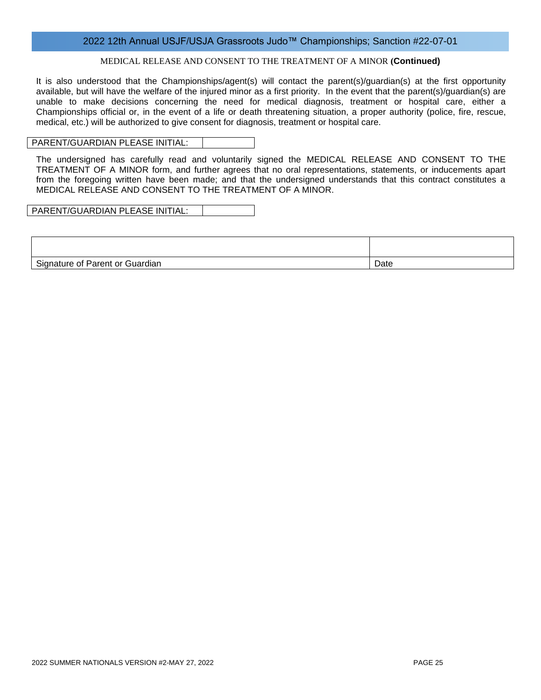#### MEDICAL RELEASE AND CONSENT TO THE TREATMENT OF A MINOR **(Continued)**

It is also understood that the Championships/agent(s) will contact the parent(s)/guardian(s) at the first opportunity available, but will have the welfare of the injured minor as a first priority. In the event that the parent(s)/guardian(s) are unable to make decisions concerning the need for medical diagnosis, treatment or hospital care, either a Championships official or, in the event of a life or death threatening situation, a proper authority (police, fire, rescue, medical, etc.) will be authorized to give consent for diagnosis, treatment or hospital care.

#### PARENT/GUARDIAN PLEASE INITIAL:

The undersigned has carefully read and voluntarily signed the MEDICAL RELEASE AND CONSENT TO THE TREATMENT OF A MINOR form, and further agrees that no oral representations, statements, or inducements apart from the foregoing written have been made; and that the undersigned understands that this contract constitutes a MEDICAL RELEASE AND CONSENT TO THE TREATMENT OF A MINOR.

PARENT/GUARDIAN PLEASE INITIAL:

| Signature of Parent or Guardian | Date |
|---------------------------------|------|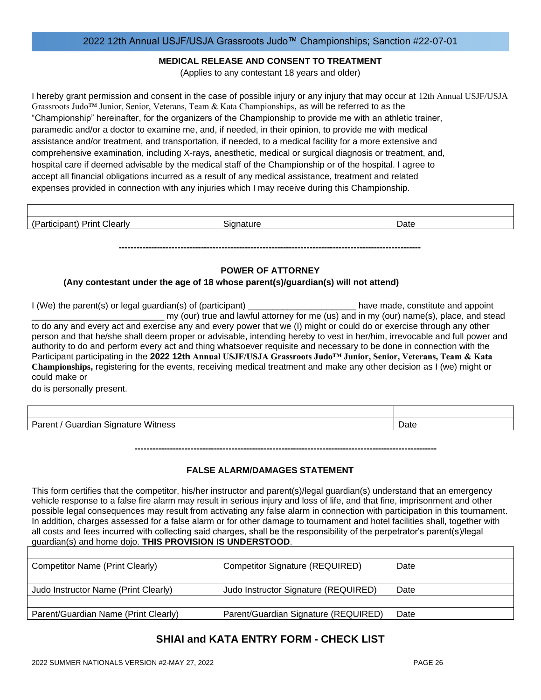#### **MEDICAL RELEASE AND CONSENT TO TREATMENT**

(Applies to any contestant 18 years and older)

I hereby grant permission and consent in the case of possible injury or any injury that may occur at 12th Annual USJF/USJA Grassroots Judo™ Junior, Senior, Veterans, Team & Kata Championships, as will be referred to as the "Championship" hereinafter, for the organizers of the Championship to provide me with an athletic trainer, paramedic and/or a doctor to examine me, and, if needed, in their opinion, to provide me with medical assistance and/or treatment, and transportation, if needed, to a medical facility for a more extensive and comprehensive examination, including X-rays, anesthetic, medical or surgical diagnosis or treatment, and, hospital care if deemed advisable by the medical staff of the Championship or of the hospital. I agree to accept all financial obligations incurred as a result of any medical assistance, treatment and related expenses provided in connection with any injuries which I may receive during this Championship.

| $\sqrt{2}$<br>:learl\<br>.<br>.<br>ື | Date |
|--------------------------------------|------|

## **-------------------------------------------------------------------------------------------------------**

## **POWER OF ATTORNEY**

### **(Any contestant under the age of 18 whose parent(s)/guardian(s) will not attend)**

I (We) the parent(s) or legal guardian(s) of (participant) \_\_\_\_\_\_\_\_\_\_\_\_\_\_\_\_\_\_\_\_\_\_\_\_\_\_\_\_ have made, constitute and appoint my (our) true and lawful attorney for me (us) and in my (our) name(s), place, and stead to do any and every act and exercise any and every power that we (I) might or could do or exercise through any other person and that he/she shall deem proper or advisable, intending hereby to vest in her/him, irrevocable and full power and authority to do and perform every act and thing whatsoever requisite and necessary to be done in connection with the Participant participating in the **2022 12th Annual USJF/USJA Grassroots Judo™ Junior, Senior, Veterans, Team & Kata Championships,** registering for the events, receiving medical treatment and make any other decision as I (we) might or could make or

do is personally present.

| Witness<br>Parent,<br>Guardian Signature | Date |
|------------------------------------------|------|

**-------------------------------------------------------------------------------------------------------**

#### **FALSE ALARM/DAMAGES STATEMENT**

This form certifies that the competitor, his/her instructor and parent(s)/legal guardian(s) understand that an emergency vehicle response to a false fire alarm may result in serious injury and loss of life, and that fine, imprisonment and other possible legal consequences may result from activating any false alarm in connection with participation in this tournament. In addition, charges assessed for a false alarm or for other damage to tournament and hotel facilities shall, together with all costs and fees incurred with collecting said charges, shall be the responsibility of the perpetrator's parent(s)/legal guardian(s) and home dojo. **THIS PROVISION IS UNDERSTOOD**.

| Competitor Name (Print Clearly)      | <b>Competitor Signature (REQUIRED)</b> | Date |
|--------------------------------------|----------------------------------------|------|
|                                      |                                        |      |
| Judo Instructor Name (Print Clearly) | Judo Instructor Signature (REQUIRED)   | Date |
|                                      |                                        |      |
| Parent/Guardian Name (Print Clearly) | Parent/Guardian Signature (REQUIRED)   | Date |

## **SHIAI and KATA ENTRY FORM - CHECK LIST**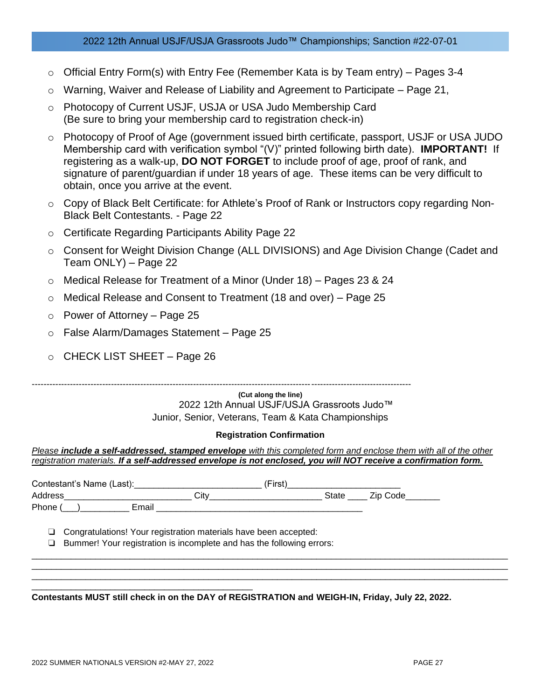- o Official Entry Form(s) with Entry Fee (Remember Kata is by Team entry) Pages 3-4
- $\circ$  Warning, Waiver and Release of Liability and Agreement to Participate Page 21,
- o Photocopy of Current USJF, USJA or USA Judo Membership Card (Be sure to bring your membership card to registration check-in)
- o Photocopy of Proof of Age (government issued birth certificate, passport, USJF or USA JUDO Membership card with verification symbol "(V)" printed following birth date). **IMPORTANT!** If registering as a walk-up, **DO NOT FORGET** to include proof of age, proof of rank, and signature of parent/guardian if under 18 years of age. These items can be very difficult to obtain, once you arrive at the event.
- o Copy of Black Belt Certificate: for Athlete's Proof of Rank or Instructors copy regarding Non-Black Belt Contestants. - Page 22
- o Certificate Regarding Participants Ability Page 22
- o Consent for Weight Division Change (ALL DIVISIONS) and Age Division Change (Cadet and Team ONLY) – Page 22
- o Medical Release for Treatment of a Minor (Under 18) Pages 23 & 24
- o Medical Release and Consent to Treatment (18 and over) Page 25
- o Power of Attorney Page 25
- o False Alarm/Damages Statement Page 25
- o CHECK LIST SHEET Page 26

---------------------------------------------------------------------------------------------------------------------------------

**(Cut along the line)** 2022 12th Annual USJF/USJA Grassroots Judo™ Junior, Senior, Veterans, Team & Kata Championships

#### **Registration Confirmation**

*Please include a self-addressed, stamped envelope with this completed form and enclose them with all of the other registration materials. If a self-addressed envelope is not enclosed, you will NOT receive a confirmation form.*

| Contestant's Name (Last): Contestant Contestant Contestant Contest Contest Contest Contest Contest Contest Contest |                                                                                                                                           | (First) |                |
|--------------------------------------------------------------------------------------------------------------------|-------------------------------------------------------------------------------------------------------------------------------------------|---------|----------------|
|                                                                                                                    |                                                                                                                                           |         | State Zip Code |
|                                                                                                                    | Phone ( ) Email Email Email Email Email Email Service Service Service Service Service Service Service Service S                           |         |                |
| ⊔.<br>ப                                                                                                            | Congratulations! Your registration materials have been accepted:<br>Bummer! Your registration is incomplete and has the following errors: |         |                |
|                                                                                                                    |                                                                                                                                           |         |                |
|                                                                                                                    | A concert buildt child is a three of a basic department of the film in the basic delivery and a                                           |         |                |

**Contestants MUST still check in on the DAY of REGISTRATION and WEIGH-IN, Friday, July 22, 2022.**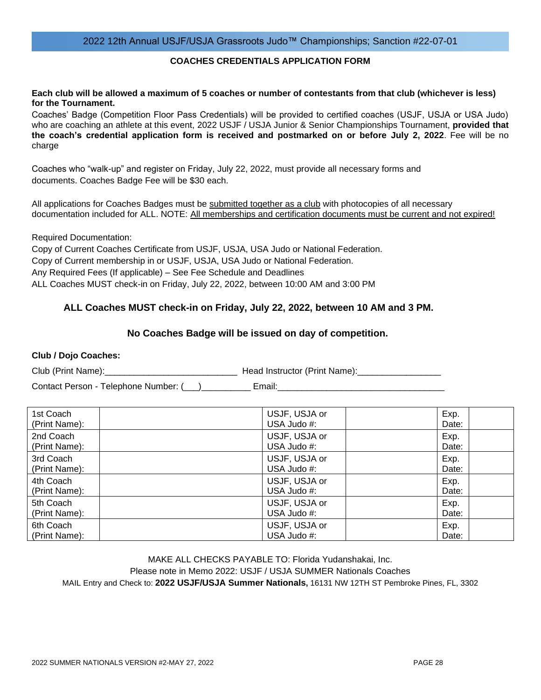### **COACHES CREDENTIALS APPLICATION FORM**

#### **Each club will be allowed a maximum of 5 coaches or number of contestants from that club (whichever is less) for the Tournament.**

Coaches' Badge (Competition Floor Pass Credentials) will be provided to certified coaches (USJF, USJA or USA Judo) who are coaching an athlete at this event, 2022 USJF / USJA Junior & Senior Championships Tournament, **provided that the coach's credential application form is received and postmarked on or before July 2, 2022**. Fee will be no charge

Coaches who "walk-up" and register on Friday, July 22, 2022, must provide all necessary forms and documents. Coaches Badge Fee will be \$30 each.

All applications for Coaches Badges must be submitted together as a club with photocopies of all necessary documentation included for ALL. NOTE: All memberships and certification documents must be current and not expired!

Required Documentation:

Copy of Current Coaches Certificate from USJF, USJA, USA Judo or National Federation. Copy of Current membership in or USJF, USJA, USA Judo or National Federation. Any Required Fees (If applicable) – See Fee Schedule and Deadlines ALL Coaches MUST check-in on Friday, July 22, 2022, between 10:00 AM and 3:00 PM

## **ALL Coaches MUST check-in on Friday, July 22, 2022, between 10 AM and 3 PM.**

### **No Coaches Badge will be issued on day of competition.**

### **Club / Dojo Coaches:**

Club (Print Name): The Club (Print Name): Lead Instructor (Print Name):

Contact Person - Telephone Number: (\_\_\_)\_\_\_\_\_\_\_\_\_\_ Email:\_\_\_\_\_\_\_\_\_\_\_\_\_\_\_\_\_\_\_\_\_\_\_\_\_\_\_\_\_\_\_\_\_\_

| 1st Coach     | USJF, USJA or | Exp.  |
|---------------|---------------|-------|
| (Print Name): | USA Judo #:   | Date: |
| 2nd Coach     | USJF, USJA or | Exp.  |
| (Print Name): | USA Judo #:   | Date: |
| 3rd Coach     | USJF, USJA or | Exp.  |
| (Print Name): | USA Judo #:   | Date: |
| 4th Coach     | USJF, USJA or | Exp.  |
| (Print Name): | USA Judo #:   | Date: |
| 5th Coach     | USJF, USJA or | Exp.  |
| (Print Name): | USA Judo #:   | Date: |
| 6th Coach     | USJF, USJA or | Exp.  |
| (Print Name): | USA Judo #:   | Date: |

MAKE ALL CHECKS PAYABLE TO: Florida Yudanshakai, Inc. Please note in Memo 2022: USJF / USJA SUMMER Nationals Coaches MAIL Entry and Check to: **2022 USJF/USJA Summer Nationals,** 16131 NW 12TH ST Pembroke Pines, FL, 3302